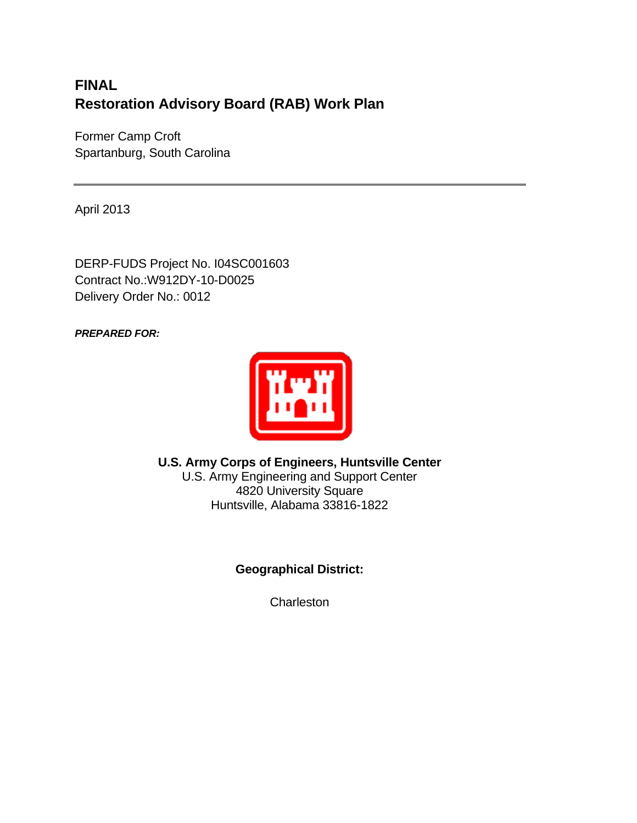# **FINAL Restoration Advisory Board (RAB) Work Plan**

Former Camp Croft Spartanburg, South Carolina

April 2013

DERP-FUDS Project No. I04SC001603 Contract No.:W912DY-10-D0025 Delivery Order No.: 0012

*PREPARED FOR:* 



**U.S. Army Corps of Engineers, Huntsville Center**  U.S. Army Engineering and Support Center 4820 University Square Huntsville, Alabama 33816-1822

**Geographical District:** 

**Charleston**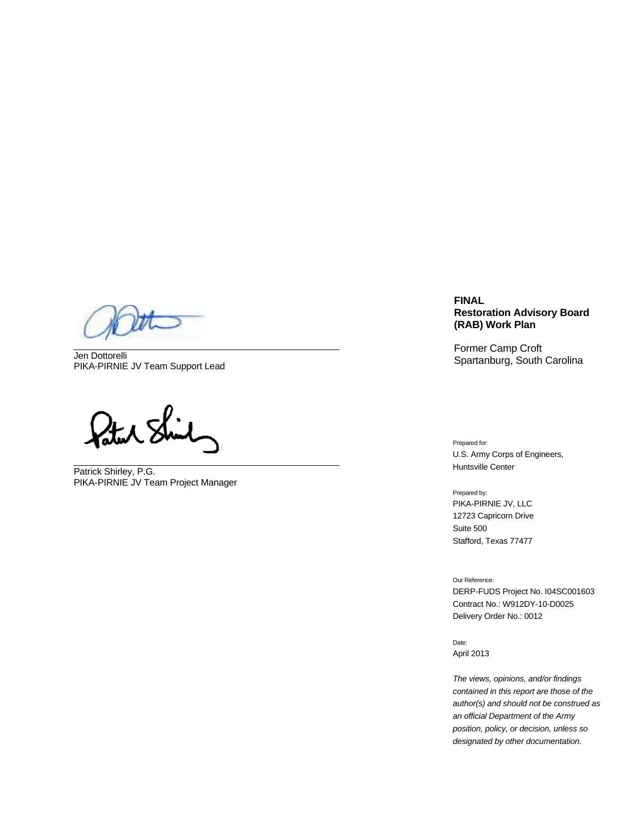$\overline{a}$ Jen Dottorelli PIKA-PIRNIE JV Team Support Lead

S

l

Patrick Shirley, P.G. PIKA-PIRNIE JV Team Project Manager

### **FINAL Restoration Advisory Board (RAB) Work Plan**

Former Camp Croft Spartanburg, South Carolina

Prepared for: U.S. Army Corps of Engineers, Huntsville Center

Prepared by: PIKA-PIRNIE JV, LLC 12723 Capricorn Drive Suite 500 Stafford, Texas 77477

Our Reference: DERP-FUDS Project No. I04SC001603 Contract No.: W912DY-10-D0025 Delivery Order No.: 0012

Date: April 2013

*The views, opinions, and/or findings contained in this report are those of the author(s) and should not be construed as an official Department of the Army position, policy, or decision, unless so designated by other documentation.*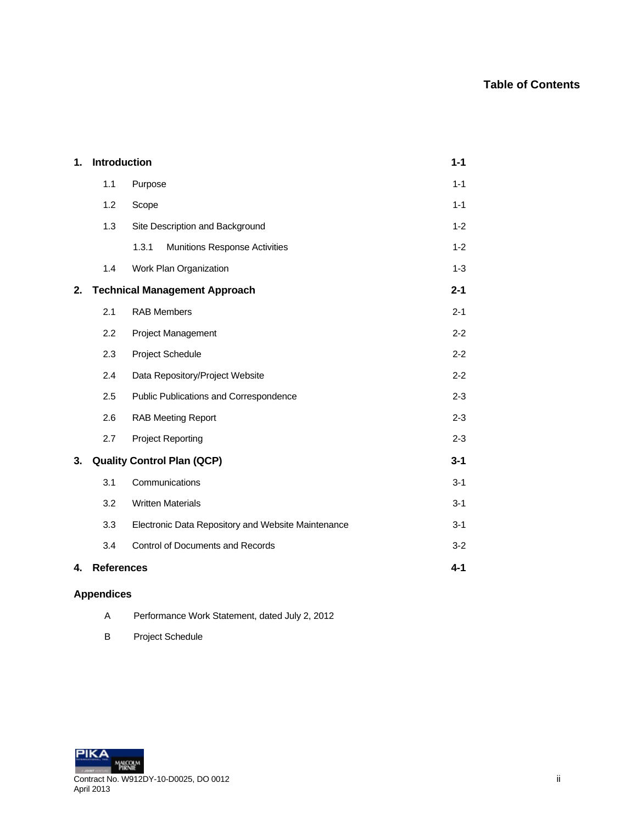# **Table of Contents**

| 1. | <b>Introduction</b> |                                                    | $1 - 1$ |
|----|---------------------|----------------------------------------------------|---------|
|    | 1.1                 | Purpose                                            | $1 - 1$ |
|    | 1.2                 | Scope                                              | $1 - 1$ |
|    | 1.3                 | Site Description and Background                    | $1 - 2$ |
|    |                     | 1.3.1<br>Munitions Response Activities             | $1 - 2$ |
|    | 1.4                 | Work Plan Organization                             | $1 - 3$ |
| 2. |                     | <b>Technical Management Approach</b>               | $2 - 1$ |
|    | 2.1                 | <b>RAB Members</b>                                 | $2 - 1$ |
|    | 2.2                 | <b>Project Management</b>                          | $2 - 2$ |
|    | 2.3                 | Project Schedule                                   | $2 - 2$ |
|    | 2.4                 | Data Repository/Project Website                    | $2 - 2$ |
|    | 2.5                 | Public Publications and Correspondence             | $2 - 3$ |
|    | 2.6                 | <b>RAB Meeting Report</b>                          | $2 - 3$ |
|    | 2.7                 | <b>Project Reporting</b>                           | $2 - 3$ |
| 3. |                     | <b>Quality Control Plan (QCP)</b>                  | $3 - 1$ |
|    | 3.1                 | Communications                                     | $3 - 1$ |
|    | 3.2                 | <b>Written Materials</b>                           | $3 - 1$ |
|    | 3.3                 | Electronic Data Repository and Website Maintenance | $3 - 1$ |
|    | 3.4                 | <b>Control of Documents and Records</b>            | $3 - 2$ |
| 4. | <b>References</b>   |                                                    | $4 - 1$ |

# **Appendices**

- A Performance Work Statement, dated July 2, 2012
- B Project Schedule

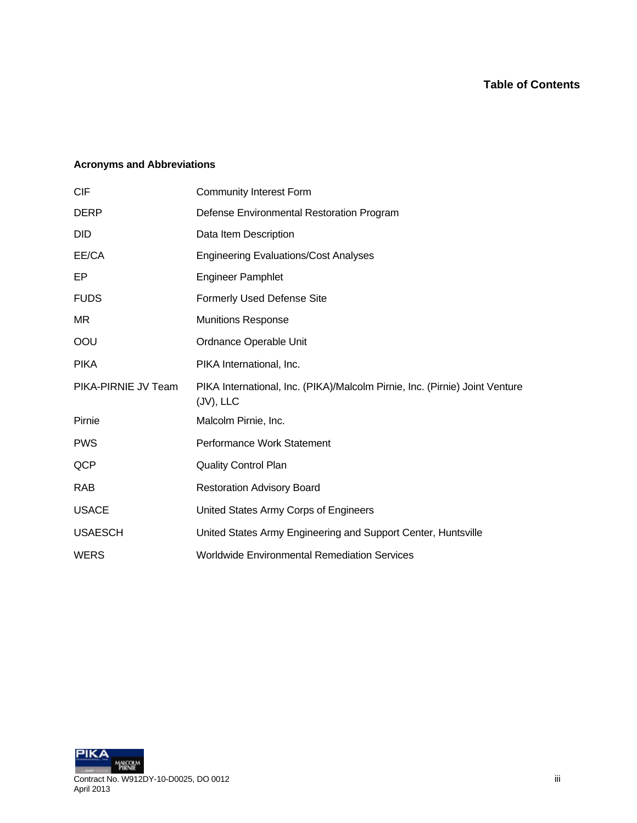# **Table of Contents**

# **Acronyms and Abbreviations**

| <b>CIF</b>          | <b>Community Interest Form</b>                                                              |
|---------------------|---------------------------------------------------------------------------------------------|
| <b>DERP</b>         | Defense Environmental Restoration Program                                                   |
| <b>DID</b>          | Data Item Description                                                                       |
| EE/CA               | <b>Engineering Evaluations/Cost Analyses</b>                                                |
| EP                  | <b>Engineer Pamphlet</b>                                                                    |
| <b>FUDS</b>         | <b>Formerly Used Defense Site</b>                                                           |
| ΜR                  | <b>Munitions Response</b>                                                                   |
| OOU                 | Ordnance Operable Unit                                                                      |
| <b>PIKA</b>         | PIKA International, Inc.                                                                    |
|                     |                                                                                             |
| PIKA-PIRNIE JV Team | PIKA International, Inc. (PIKA)/Malcolm Pirnie, Inc. (Pirnie) Joint Venture<br>$(JV)$ , LLC |
| Pirnie              | Malcolm Pirnie, Inc.                                                                        |
| <b>PWS</b>          | Performance Work Statement                                                                  |
| QCP                 | <b>Quality Control Plan</b>                                                                 |
| <b>RAB</b>          | <b>Restoration Advisory Board</b>                                                           |
| <b>USACE</b>        | United States Army Corps of Engineers                                                       |
| <b>USAESCH</b>      | United States Army Engineering and Support Center, Huntsville                               |

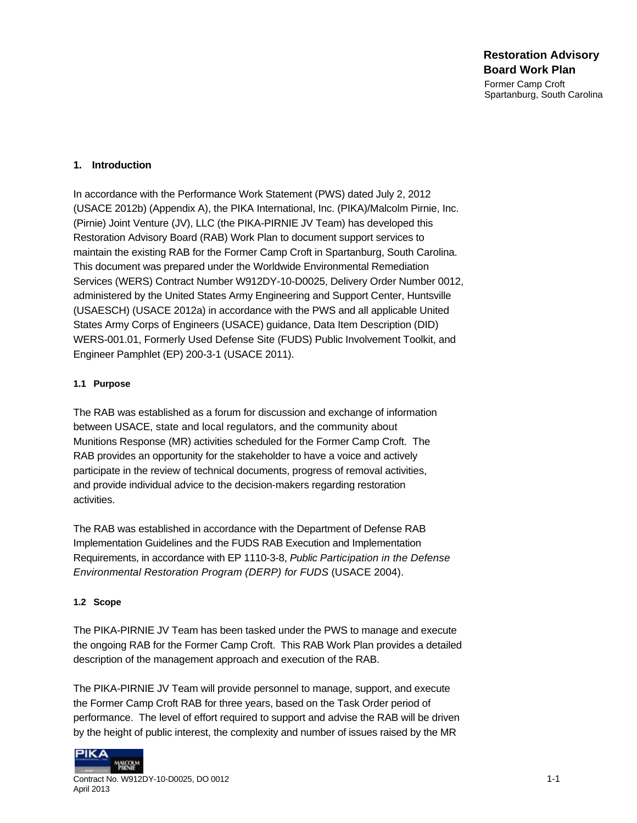### **1. Introduction**

In accordance with the Performance Work Statement (PWS) dated July 2, 2012 (USACE 2012b) (Appendix A), the PIKA International, Inc. (PIKA)/Malcolm Pirnie, Inc. (Pirnie) Joint Venture (JV), LLC (the PIKA-PIRNIE JV Team) has developed this Restoration Advisory Board (RAB) Work Plan to document support services to maintain the existing RAB for the Former Camp Croft in Spartanburg, South Carolina. This document was prepared under the Worldwide Environmental Remediation Services (WERS) Contract Number W912DY-10-D0025, Delivery Order Number 0012, administered by the United States Army Engineering and Support Center, Huntsville (USAESCH) (USACE 2012a) in accordance with the PWS and all applicable United States Army Corps of Engineers (USACE) guidance, Data Item Description (DID) WERS-001.01, Formerly Used Defense Site (FUDS) Public Involvement Toolkit, and Engineer Pamphlet (EP) 200-3-1 (USACE 2011).

### **1.1 Purpose**

The RAB was established as a forum for discussion and exchange of information between USACE, state and local regulators, and the community about Munitions Response (MR) activities scheduled for the Former Camp Croft. The RAB provides an opportunity for the stakeholder to have a voice and actively participate in the review of technical documents, progress of removal activities, and provide individual advice to the decision-makers regarding restoration activities.

The RAB was established in accordance with the Department of Defense RAB Implementation Guidelines and the FUDS RAB Execution and Implementation Requirements, in accordance with EP 1110-3-8, *Public Participation in the Defense Environmental Restoration Program (DERP) for FUDS* (USACE 2004).

### **1.2 Scope**

The PIKA-PIRNIE JV Team has been tasked under the PWS to manage and execute the ongoing RAB for the Former Camp Croft. This RAB Work Plan provides a detailed description of the management approach and execution of the RAB.

The PIKA-PIRNIE JV Team will provide personnel to manage, support, and execute the Former Camp Croft RAB for three years, based on the Task Order period of performance. The level of effort required to support and advise the RAB will be driven by the height of public interest, the complexity and number of issues raised by the MR



Contract No. W912DY-10-D0025, DO 0012 1-1 April 2013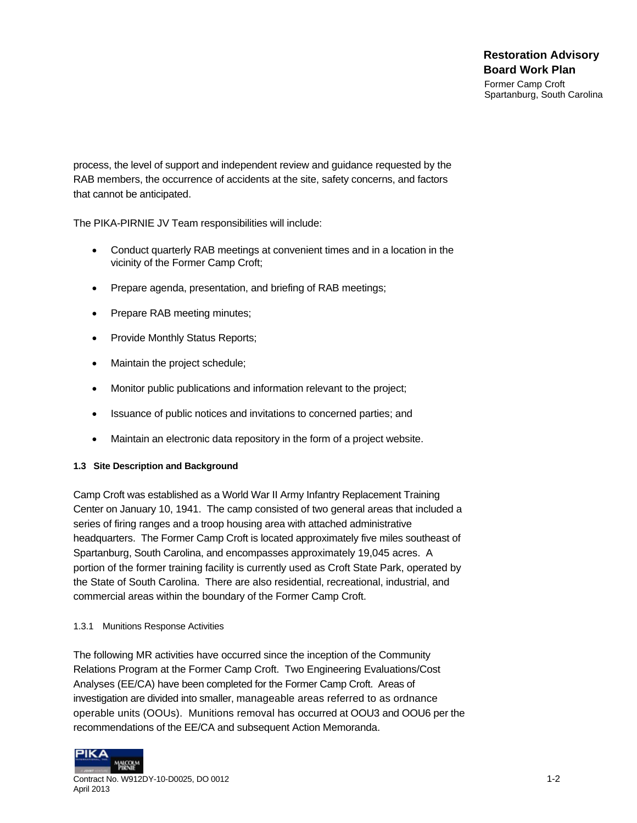process, the level of support and independent review and guidance requested by the RAB members, the occurrence of accidents at the site, safety concerns, and factors that cannot be anticipated.

The PIKA-PIRNIE JV Team responsibilities will include:

- Conduct quarterly RAB meetings at convenient times and in a location in the vicinity of the Former Camp Croft;
- Prepare agenda, presentation, and briefing of RAB meetings;
- Prepare RAB meeting minutes;
- Provide Monthly Status Reports;
- Maintain the project schedule;
- Monitor public publications and information relevant to the project;
- Issuance of public notices and invitations to concerned parties; and
- Maintain an electronic data repository in the form of a project website.

### **1.3 Site Description and Background**

Camp Croft was established as a World War II Army Infantry Replacement Training Center on January 10, 1941. The camp consisted of two general areas that included a series of firing ranges and a troop housing area with attached administrative headquarters. The Former Camp Croft is located approximately five miles southeast of Spartanburg, South Carolina, and encompasses approximately 19,045 acres. A portion of the former training facility is currently used as Croft State Park, operated by the State of South Carolina. There are also residential, recreational, industrial, and commercial areas within the boundary of the Former Camp Croft.

### 1.3.1 Munitions Response Activities

The following MR activities have occurred since the inception of the Community Relations Program at the Former Camp Croft. Two Engineering Evaluations/Cost Analyses (EE/CA) have been completed for the Former Camp Croft. Areas of investigation are divided into smaller, manageable areas referred to as ordnance operable units (OOUs). Munitions removal has occurred at OOU3 and OOU6 per the recommendations of the EE/CA and subsequent Action Memoranda.



Contract No. W912DY-10-D0025, DO 0012 1-2 April 2013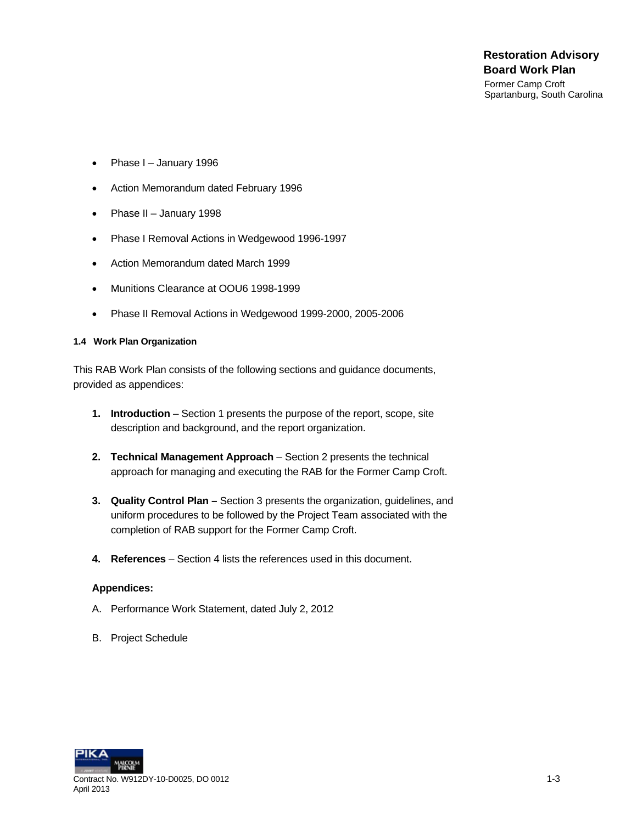- Phase I January 1996
- Action Memorandum dated February 1996
- Phase II January 1998
- Phase I Removal Actions in Wedgewood 1996-1997
- Action Memorandum dated March 1999
- Munitions Clearance at OOU6 1998-1999
- Phase II Removal Actions in Wedgewood 1999-2000, 2005-2006

#### **1.4 Work Plan Organization**

This RAB Work Plan consists of the following sections and guidance documents, provided as appendices:

- **1. Introduction**  Section 1 presents the purpose of the report, scope, site description and background, and the report organization.
- **2. Technical Management Approach**  Section 2 presents the technical approach for managing and executing the RAB for the Former Camp Croft.
- **3. Quality Control Plan** Section 3 presents the organization, guidelines, and uniform procedures to be followed by the Project Team associated with the completion of RAB support for the Former Camp Croft.
- **4. References**  Section 4 lists the references used in this document.

### **Appendices:**

- A. Performance Work Statement, dated July 2, 2012
- B. Project Schedule

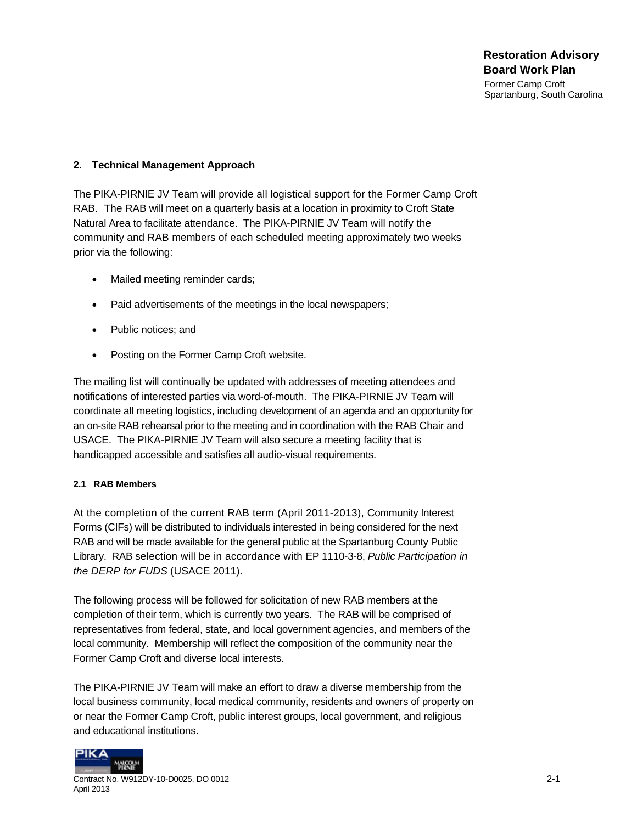### **2. Technical Management Approach**

The PIKA-PIRNIE JV Team will provide all logistical support for the Former Camp Croft RAB. The RAB will meet on a quarterly basis at a location in proximity to Croft State Natural Area to facilitate attendance. The PIKA-PIRNIE JV Team will notify the community and RAB members of each scheduled meeting approximately two weeks prior via the following:

- Mailed meeting reminder cards;
- Paid advertisements of the meetings in the local newspapers;
- Public notices; and
- Posting on the Former Camp Croft website.

The mailing list will continually be updated with addresses of meeting attendees and notifications of interested parties via word-of-mouth. The PIKA-PIRNIE JV Team will coordinate all meeting logistics, including development of an agenda and an opportunity for an on-site RAB rehearsal prior to the meeting and in coordination with the RAB Chair and USACE. The PIKA-PIRNIE JV Team will also secure a meeting facility that is handicapped accessible and satisfies all audio-visual requirements.

### **2.1 RAB Members**

At the completion of the current RAB term (April 2011-2013), Community Interest Forms (CIFs) will be distributed to individuals interested in being considered for the next RAB and will be made available for the general public at the Spartanburg County Public Library. RAB selection will be in accordance with EP 1110-3-8, *Public Participation in the DERP for FUDS* (USACE 2011).

The following process will be followed for solicitation of new RAB members at the completion of their term, which is currently two years. The RAB will be comprised of representatives from federal, state, and local government agencies, and members of the local community. Membership will reflect the composition of the community near the Former Camp Croft and diverse local interests.

The PIKA-PIRNIE JV Team will make an effort to draw a diverse membership from the local business community, local medical community, residents and owners of property on or near the Former Camp Croft, public interest groups, local government, and religious and educational institutions.



Contract No. W912DY-10-D0025, DO 0012 2-1 April 2013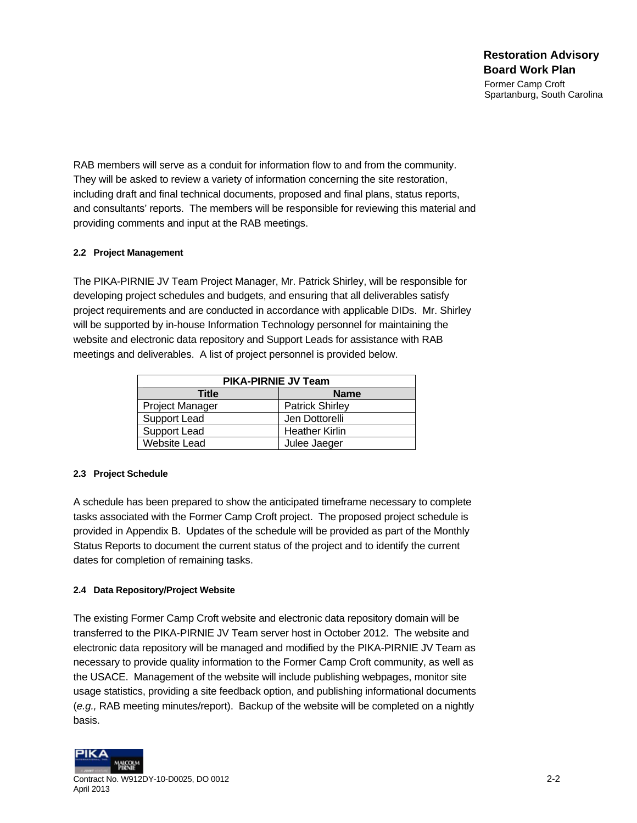RAB members will serve as a conduit for information flow to and from the community. They will be asked to review a variety of information concerning the site restoration, including draft and final technical documents, proposed and final plans, status reports, and consultants' reports. The members will be responsible for reviewing this material and providing comments and input at the RAB meetings.

### **2.2 Project Management**

The PIKA-PIRNIE JV Team Project Manager, Mr. Patrick Shirley, will be responsible for developing project schedules and budgets, and ensuring that all deliverables satisfy project requirements and are conducted in accordance with applicable DIDs. Mr. Shirley will be supported by in-house Information Technology personnel for maintaining the website and electronic data repository and Support Leads for assistance with RAB meetings and deliverables. A list of project personnel is provided below.

| <b>PIKA-PIRNIE JV Team</b>  |                        |  |  |  |  |
|-----------------------------|------------------------|--|--|--|--|
| <b>Name</b><br><b>Title</b> |                        |  |  |  |  |
| Project Manager             | <b>Patrick Shirley</b> |  |  |  |  |
| Support Lead                | Jen Dottorelli         |  |  |  |  |
| Support Lead                | <b>Heather Kirlin</b>  |  |  |  |  |
| <b>Website Lead</b>         | Julee Jaeger           |  |  |  |  |

## **2.3 Project Schedule**

A schedule has been prepared to show the anticipated timeframe necessary to complete tasks associated with the Former Camp Croft project. The proposed project schedule is provided in Appendix B. Updates of the schedule will be provided as part of the Monthly Status Reports to document the current status of the project and to identify the current dates for completion of remaining tasks.

# **2.4 Data Repository/Project Website**

The existing Former Camp Croft website and electronic data repository domain will be transferred to the PIKA-PIRNIE JV Team server host in October 2012. The website and electronic data repository will be managed and modified by the PIKA-PIRNIE JV Team as necessary to provide quality information to the Former Camp Croft community, as well as the USACE. Management of the website will include publishing webpages, monitor site usage statistics, providing a site feedback option, and publishing informational documents (*e.g.,* RAB meeting minutes/report). Backup of the website will be completed on a nightly basis.

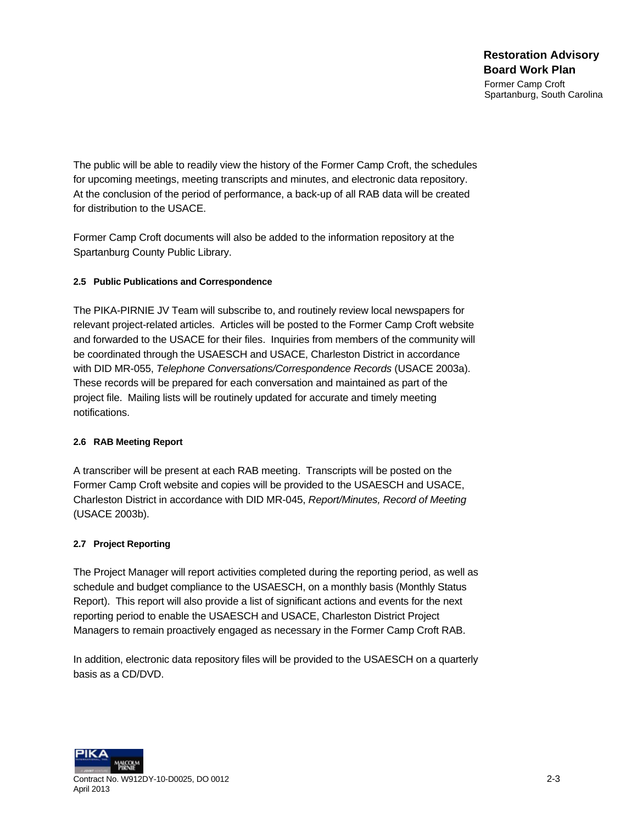The public will be able to readily view the history of the Former Camp Croft, the schedules for upcoming meetings, meeting transcripts and minutes, and electronic data repository. At the conclusion of the period of performance, a back-up of all RAB data will be created for distribution to the USACE.

Former Camp Croft documents will also be added to the information repository at the Spartanburg County Public Library.

### **2.5 Public Publications and Correspondence**

The PIKA-PIRNIE JV Team will subscribe to, and routinely review local newspapers for relevant project-related articles. Articles will be posted to the Former Camp Croft website and forwarded to the USACE for their files. Inquiries from members of the community will be coordinated through the USAESCH and USACE, Charleston District in accordance with DID MR-055, *Telephone Conversations/Correspondence Records* (USACE 2003a). These records will be prepared for each conversation and maintained as part of the project file. Mailing lists will be routinely updated for accurate and timely meeting notifications.

### **2.6 RAB Meeting Report**

A transcriber will be present at each RAB meeting. Transcripts will be posted on the Former Camp Croft website and copies will be provided to the USAESCH and USACE, Charleston District in accordance with DID MR-045, *Report/Minutes, Record of Meeting* (USACE 2003b).

## **2.7 Project Reporting**

The Project Manager will report activities completed during the reporting period, as well as schedule and budget compliance to the USAESCH, on a monthly basis (Monthly Status Report). This report will also provide a list of significant actions and events for the next reporting period to enable the USAESCH and USACE, Charleston District Project Managers to remain proactively engaged as necessary in the Former Camp Croft RAB.

In addition, electronic data repository files will be provided to the USAESCH on a quarterly basis as a CD/DVD.

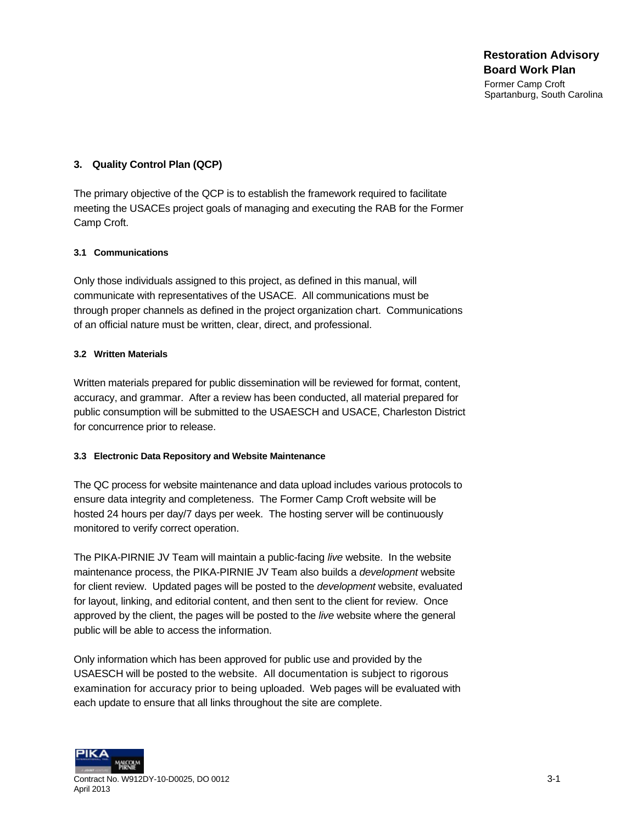# **3. Quality Control Plan (QCP)**

The primary objective of the QCP is to establish the framework required to facilitate meeting the USACEs project goals of managing and executing the RAB for the Former Camp Croft.

### **3.1 Communications**

Only those individuals assigned to this project, as defined in this manual, will communicate with representatives of the USACE. All communications must be through proper channels as defined in the project organization chart. Communications of an official nature must be written, clear, direct, and professional.

### **3.2 Written Materials**

Written materials prepared for public dissemination will be reviewed for format, content, accuracy, and grammar. After a review has been conducted, all material prepared for public consumption will be submitted to the USAESCH and USACE, Charleston District for concurrence prior to release.

### **3.3 Electronic Data Repository and Website Maintenance**

The QC process for website maintenance and data upload includes various protocols to ensure data integrity and completeness. The Former Camp Croft website will be hosted 24 hours per day/7 days per week. The hosting server will be continuously monitored to verify correct operation.

The PIKA-PIRNIE JV Team will maintain a public-facing *live* website. In the website maintenance process, the PIKA-PIRNIE JV Team also builds a *development* website for client review. Updated pages will be posted to the *development* website, evaluated for layout, linking, and editorial content, and then sent to the client for review. Once approved by the client, the pages will be posted to the *live* website where the general public will be able to access the information.

Only information which has been approved for public use and provided by the USAESCH will be posted to the website. All documentation is subject to rigorous examination for accuracy prior to being uploaded. Web pages will be evaluated with each update to ensure that all links throughout the site are complete.

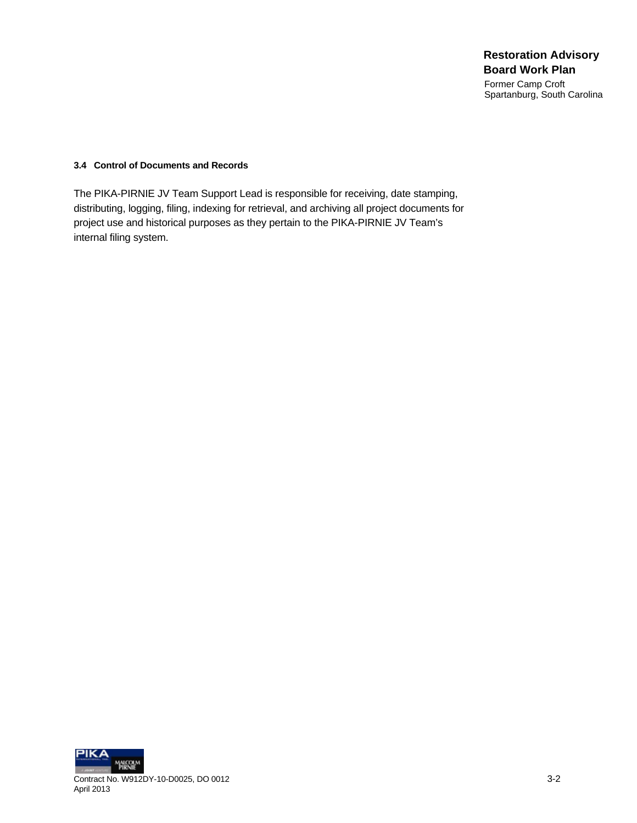### **3.4 Control of Documents and Records**

The PIKA-PIRNIE JV Team Support Lead is responsible for receiving, date stamping, distributing, logging, filing, indexing for retrieval, and archiving all project documents for project use and historical purposes as they pertain to the PIKA-PIRNIE JV Team's internal filing system.

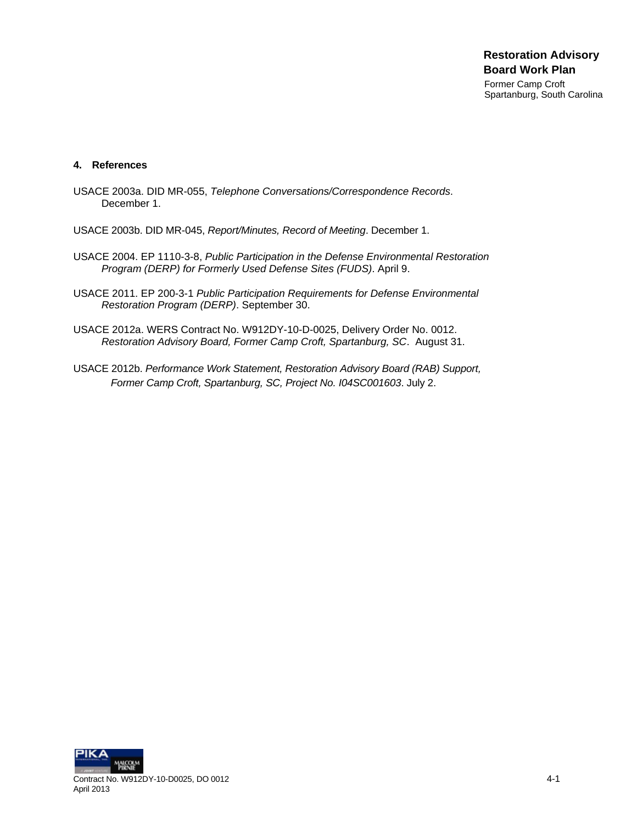### **4. References**

- USACE 2003a. DID MR-055, *Telephone Conversations/Correspondence Records*. December 1.
- USACE 2003b. DID MR-045, *Report/Minutes, Record of Meeting*. December 1.
- USACE 2004. EP 1110-3-8, *Public Participation in the Defense Environmental Restoration Program (DERP) for Formerly Used Defense Sites (FUDS)*. April 9.
- USACE 2011. EP 200-3-1 *Public Participation Requirements for Defense Environmental Restoration Program (DERP)*. September 30.
- USACE 2012a. WERS Contract No. W912DY-10-D-0025, Delivery Order No. 0012. *Restoration Advisory Board, Former Camp Croft, Spartanburg, SC*. August 31.
- USACE 2012b. *Performance Work Statement, Restoration Advisory Board (RAB) Support, Former Camp Croft, Spartanburg, SC, Project No. I04SC001603*. July 2.

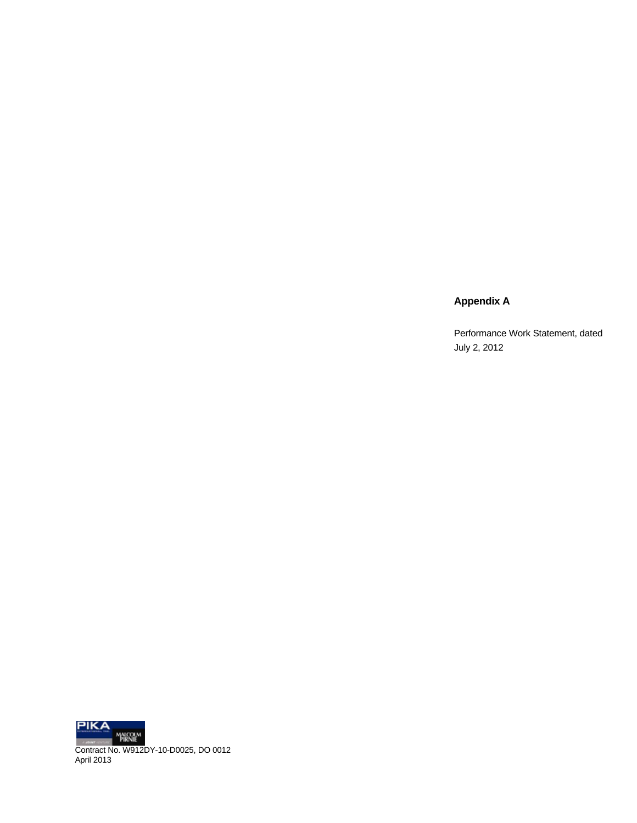# **Appendix A**

Performance Work Statement, dated July 2, 2012

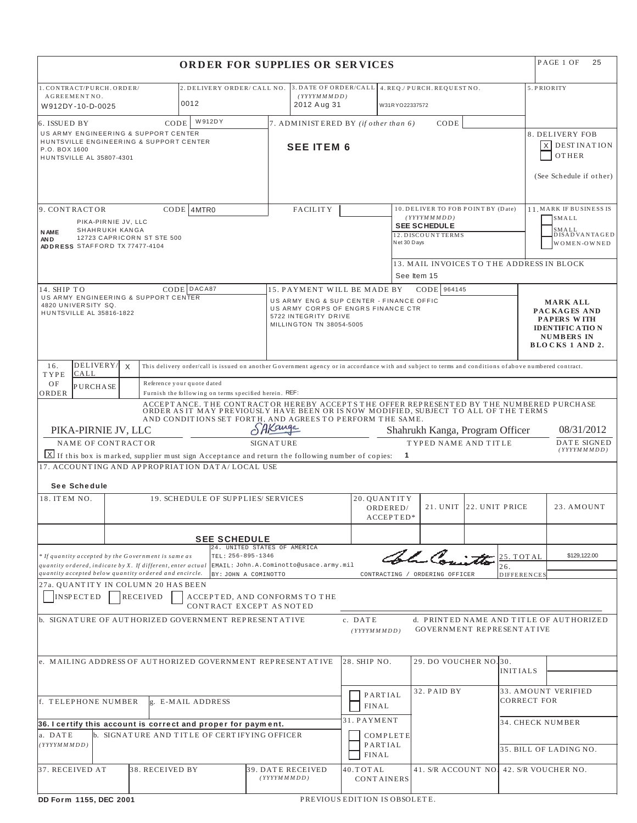|                                                                                                                                                                                                                                                                                                   | <b>ORDER FOR SUPPLIES OR SERVICES</b>                                                                                                                                                                                                      |                                                                                                                                                                   |                               |                                       |                                                                                                |                         |                                                                           | PAGE 1 OF                                                                                                                     | 25 |
|---------------------------------------------------------------------------------------------------------------------------------------------------------------------------------------------------------------------------------------------------------------------------------------------------|--------------------------------------------------------------------------------------------------------------------------------------------------------------------------------------------------------------------------------------------|-------------------------------------------------------------------------------------------------------------------------------------------------------------------|-------------------------------|---------------------------------------|------------------------------------------------------------------------------------------------|-------------------------|---------------------------------------------------------------------------|-------------------------------------------------------------------------------------------------------------------------------|----|
| 1. CONTRACT/PURCH. ORDER/<br>AGREEMENTNO.<br>W912DY-10-D-0025<br>6. ISSUED BY                                                                                                                                                                                                                     | 2. DELIVERY ORDER/ CALL NO.<br>0012<br>W912DY<br>CODE                                                                                                                                                                                      | (YYYYMMMDD)<br>2012 Aug 31<br>7. ADMINISTERED BY (if other than 6)                                                                                                |                               | W31RYO22337572                        | 3. DATE OF ORDER/CALL 4. REQ./ PURCH. REQUEST NO.<br>CODE                                      |                         | 5. PRIORITY                                                               |                                                                                                                               |    |
| US ARMY ENGINEERING & SUPPORT CENTER<br>HUNTSVILLE ENGINEERING & SUPPORT CENTER<br>P.O. BOX 1600<br>HUNTSVILLE AL 35807-4301                                                                                                                                                                      | <b>SEE ITEM 6</b>                                                                                                                                                                                                                          |                                                                                                                                                                   |                               |                                       |                                                                                                | X                       | 8. DELIVERY FOB<br><b>DESTINATION</b><br>OTHER<br>(See Schedule if other) |                                                                                                                               |    |
| 9. CONTRACTOR<br>PIKA-PIRNIE JV, LLC<br>SHAHRUKH KANGA<br><b>N AME</b><br>12723 CAPRICORN ST STE 500<br>AN D<br>ADDRESS STAFFORD TX 77477-4104                                                                                                                                                    | CODE 4MTR0                                                                                                                                                                                                                                 | <b>FACILITY</b>                                                                                                                                                   |                               | Net 30 Days                           | 10. DELIVER TO FOB POINT BY (Date)<br>(YYYYMMMDD)<br><b>SEE SCHEDULE</b><br>12. DISCOUNT TERMS |                         |                                                                           | 11. MARK IF BUSINESS IS<br>SMALL<br>SMALL<br>DISADVANTAGED<br>WOMEN-OWNED                                                     |    |
|                                                                                                                                                                                                                                                                                                   |                                                                                                                                                                                                                                            |                                                                                                                                                                   |                               |                                       | 13. MAIL INVOICES TO THE ADDRESS IN BLOCK<br>See Item 15                                       |                         |                                                                           |                                                                                                                               |    |
| 14. SHIP TO<br>US ARMY ENGINEERING & SUPPORT CENTER<br>4820 UNIVERSITY SQ.<br><b>HUNTSVILLE AL 35816-1822</b>                                                                                                                                                                                     | CODE DACA87                                                                                                                                                                                                                                | 15. PAYMENT WILL BE MADE BY<br>US ARMY ENG & SUP CENTER - FINANCE OFFIC<br>US ARMY CORPS OF ENGRS FINANCE CTR<br>5722 INTEGRITY DRIVE<br>MILLINGTON TN 38054-5005 |                               |                                       | CODE 964145                                                                                    |                         |                                                                           | <b>MARK ALL</b><br>PACKAGES AND<br><b>PAPERS WITH</b><br><b>IDENTIFICATION</b><br><b>NUMBERS IN</b><br><b>BLOCKS 1 AND 2.</b> |    |
| DELIVERY/<br>16.<br>X                                                                                                                                                                                                                                                                             | This delivery order/call is issued on another Government agency or in accordance with and subject to terms and conditions of above numbered contract.                                                                                      |                                                                                                                                                                   |                               |                                       |                                                                                                |                         |                                                                           |                                                                                                                               |    |
| CALL<br>TYPE<br>OF<br>PURCHASE<br>ORDER                                                                                                                                                                                                                                                           | Reference your quote dated<br>Furnish the following on terms specified herein. REF:                                                                                                                                                        |                                                                                                                                                                   |                               |                                       |                                                                                                |                         |                                                                           |                                                                                                                               |    |
| PIKA-PIRNIE JV, LLC<br><b>NAME OF CONTRACTOR</b><br>If this box is marked, supplier must sign Acceptance and return the following number of copies:<br>17. ACCOUNTING AND APPROPRIATION DATA/LOCAL USE<br><b>See Schedule</b>                                                                     | ACCEPTANCE. THE CONTRACTOR HEREBY ACCEPTS THE OFFER REPRESENTED BY THE NUMBERED PURCHASE ORDER AS IT MAY PREVIOUSLY HAVE BEEN OR IS NOW MODIFIED, SUBJECT TO ALL OF THE TERMS<br>AND CONDITIONS SET FORTH, AND AGREES TO PERFORM THE SAME. | Kanga<br><b>SIGNATURE</b>                                                                                                                                         |                               | $\mathbf{1}$                          | Shahrukh Kanga, Program Officer<br>TYPED NAME AND TITLE                                        |                         |                                                                           | 08/31/2012<br>DATE SIGNED<br>(YYYYMMMDD)                                                                                      |    |
| 18. ITEM NO.                                                                                                                                                                                                                                                                                      | 19. SCHEDULE OF SUPPLIES/ SERVICES                                                                                                                                                                                                         |                                                                                                                                                                   |                               | 20. QUANTITY<br>ORDERED/<br>ACCEPTED* |                                                                                                | 21. UNIT 22. UNIT PRICE |                                                                           | 23. AMOUNT                                                                                                                    |    |
|                                                                                                                                                                                                                                                                                                   | <b>SEE SCHEDULE</b><br>24. UNITED STATES OF AMERICA                                                                                                                                                                                        |                                                                                                                                                                   |                               |                                       |                                                                                                |                         |                                                                           |                                                                                                                               |    |
| * If quantity accepted by the Government is same as<br>quantity ordered, indicate by X. If different, enter actual EMAIL: John.A.Cominotto@usace.army.mil<br>quantity accepted below quantity ordered and encircle.<br>27a. QUANTITY IN COLUMN 20 HAS BEEN<br><b>INSPECTED</b><br><b>RECEIVED</b> | TEL: 256-895-1346<br>BY: JOHN A COMINOTTO<br>ACCEPTED, AND CONFORMS TO THE                                                                                                                                                                 |                                                                                                                                                                   |                               |                                       | Conitto<br>CONTRACTING / ORDERING OFFICER                                                      | 26.                     | 25. TOTAL<br>DIFFERENCES                                                  | \$129.122.00                                                                                                                  |    |
| b. SIGNATURE OF AUTHORIZED GOVERNMENT REPRESENTATIVE                                                                                                                                                                                                                                              | CONTRACT EXCEPT AS NOTED                                                                                                                                                                                                                   |                                                                                                                                                                   | c. DATE<br>(YYYYMMMDD)        |                                       | d. PRINTED NAME AND TITLE OF AUTHORIZED<br><b>GOVERNMENT REPRESENT AT IVE</b>                  |                         |                                                                           |                                                                                                                               |    |
| e. MAILING ADDRESS OF AUTHORIZED GOVERNMENT REPRESENT ATIVE                                                                                                                                                                                                                                       |                                                                                                                                                                                                                                            |                                                                                                                                                                   | 28. SHIP NO.                  |                                       | 29. DO VOUCHER NO. 30.                                                                         |                         | <b>INITIALS</b>                                                           |                                                                                                                               |    |
| f. TELEPHONE NUMBER                                                                                                                                                                                                                                                                               | g. E-MAIL ADDRESS                                                                                                                                                                                                                          |                                                                                                                                                                   | <b>FINAL</b>                  | PARTIAL                               | 32. PAID BY                                                                                    |                         | <b>CORRECT FOR</b>                                                        | 33. AMOUNT VERIFIED                                                                                                           |    |
| 36. I certify this account is correct and proper for payment.                                                                                                                                                                                                                                     |                                                                                                                                                                                                                                            |                                                                                                                                                                   | 31. PAYMENT                   |                                       |                                                                                                |                         | <b>34. CHECK NUMBER</b>                                                   |                                                                                                                               |    |
| a. DATE<br>(YYYYMMMDD)                                                                                                                                                                                                                                                                            | b. SIGNATURE AND TITLE OF CERTIFYING OFFICER                                                                                                                                                                                               |                                                                                                                                                                   | FINAL                         | COMPLETE<br>PARTIAL                   |                                                                                                |                         |                                                                           | 35. BILL OF LADING NO.                                                                                                        |    |
| 37. RECEIVED AT<br>38. RECEIVED BY                                                                                                                                                                                                                                                                |                                                                                                                                                                                                                                            | 39. DATE RECEIVED<br>(YYYYMMMDD)                                                                                                                                  | 40.TOTAL                      | <b>CONTAINERS</b>                     | 41. S/R ACCOUNT NO.                                                                            |                         |                                                                           | 42. S/R VOUCHER NO.                                                                                                           |    |
| DD Form 1155, DEC 2001                                                                                                                                                                                                                                                                            |                                                                                                                                                                                                                                            |                                                                                                                                                                   | PREVIOUS EDITION IS OBSOLETE. |                                       |                                                                                                |                         |                                                                           |                                                                                                                               |    |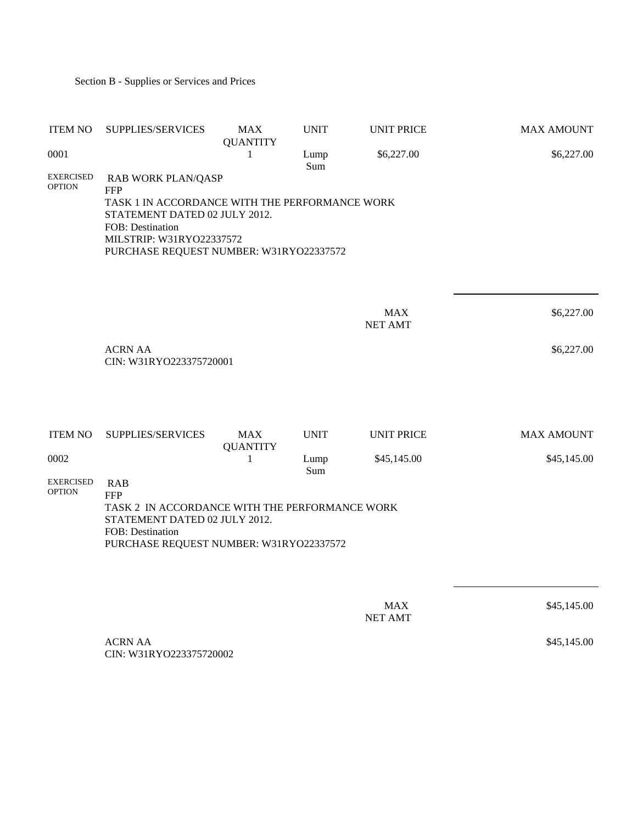Section B - Supplies or Services and Prices

| <b>ITEM NO</b>                    | SUPPLIES/SERVICES                                                                                                                                                                                                     | <b>MAX</b><br><b>QUANTITY</b> | <b>UNIT</b> | <b>UNIT PRICE</b>            | <b>MAX AMOUNT</b> |
|-----------------------------------|-----------------------------------------------------------------------------------------------------------------------------------------------------------------------------------------------------------------------|-------------------------------|-------------|------------------------------|-------------------|
| 0001                              |                                                                                                                                                                                                                       | 1                             | Lump<br>Sum | \$6,227.00                   | \$6,227.00        |
| <b>EXERCISED</b><br><b>OPTION</b> | <b>RAB WORK PLAN/QASP</b><br><b>FFP</b><br>TASK 1 IN ACCORDANCE WITH THE PERFORMANCE WORK<br>STATEMENT DATED 02 JULY 2012.<br>FOB: Destination<br>MILSTRIP: W31RYO22337572<br>PURCHASE REQUEST NUMBER: W31RYO22337572 |                               |             |                              |                   |
|                                   |                                                                                                                                                                                                                       |                               |             | <b>MAX</b><br><b>NET AMT</b> | \$6,227.00        |
|                                   | <b>ACRN AA</b><br>CIN: W31RYO223375720001                                                                                                                                                                             |                               |             |                              | \$6,227.00        |
| <b>ITEM NO</b>                    | SUPPLIES/SERVICES                                                                                                                                                                                                     | <b>MAX</b><br><b>QUANTITY</b> | <b>UNIT</b> | <b>UNIT PRICE</b>            | <b>MAX AMOUNT</b> |
| 0002                              |                                                                                                                                                                                                                       | 1                             | Lump<br>Sum | \$45,145.00                  | \$45,145.00       |
| <b>EXERCISED</b><br><b>OPTION</b> | <b>RAB</b><br><b>FFP</b><br>TASK 2 IN ACCORDANCE WITH THE PERFORMANCE WORK<br>STATEMENT DATED 02 JULY 2012.<br>FOB: Destination<br>PURCHASE REQUEST NUMBER: W31RYO22337572                                            |                               |             |                              |                   |
|                                   |                                                                                                                                                                                                                       |                               |             | <b>MAX</b>                   | \$45,145.00       |

NET AMT ACRN AA \$45,145.00

CIN: W31RYO223375720002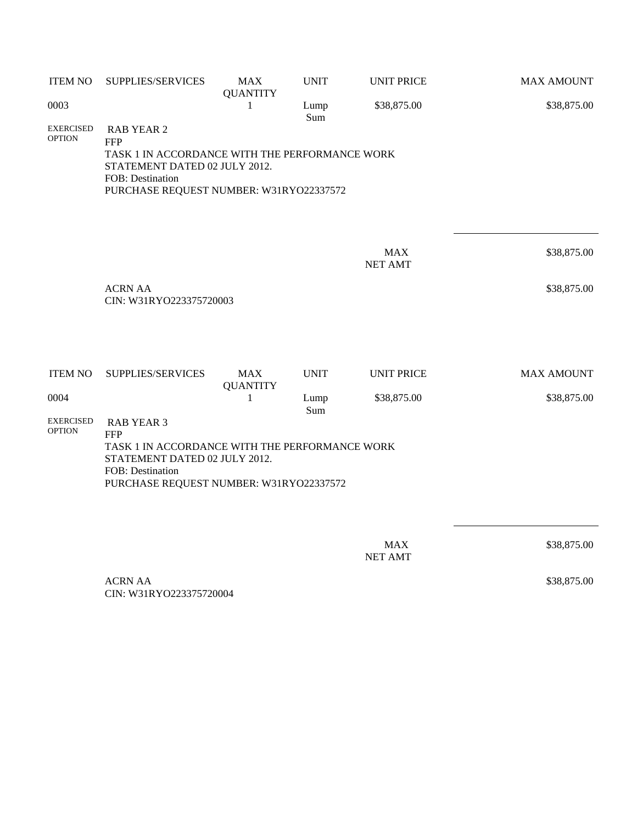| <b>ITEM NO</b>                    | SUPPLIES/SERVICES                                                                                           | <b>MAX</b><br><b>QUANTITY</b> | <b>UNIT</b> | <b>UNIT PRICE</b>            | <b>MAX AMOUNT</b> |
|-----------------------------------|-------------------------------------------------------------------------------------------------------------|-------------------------------|-------------|------------------------------|-------------------|
| 0003                              |                                                                                                             | 1                             | Lump<br>Sum | \$38,875.00                  | \$38,875.00       |
| <b>EXERCISED</b><br><b>OPTION</b> | <b>RAB YEAR 2</b><br><b>FFP</b>                                                                             |                               |             |                              |                   |
|                                   | TASK 1 IN ACCORDANCE WITH THE PERFORMANCE WORK<br>STATEMENT DATED 02 JULY 2012.<br>FOB: Destination         |                               |             |                              |                   |
|                                   | PURCHASE REQUEST NUMBER: W31RYO22337572                                                                     |                               |             |                              |                   |
|                                   |                                                                                                             |                               |             |                              |                   |
|                                   |                                                                                                             |                               |             | <b>MAX</b><br><b>NET AMT</b> | \$38,875.00       |
|                                   | <b>ACRN AA</b><br>CIN: W31RYO223375720003                                                                   |                               |             |                              | \$38,875.00       |
|                                   |                                                                                                             |                               |             |                              |                   |
| <b>ITEM NO</b>                    | SUPPLIES/SERVICES                                                                                           | <b>MAX</b><br><b>QUANTITY</b> | <b>UNIT</b> | <b>UNIT PRICE</b>            | <b>MAX AMOUNT</b> |
| 0004                              |                                                                                                             | 1                             | Lump<br>Sum | \$38,875.00                  | \$38,875.00       |
| <b>EXERCISED</b><br><b>OPTION</b> | <b>RAB YEAR 3</b><br><b>FFP</b>                                                                             |                               |             |                              |                   |
|                                   | TASK 1 IN ACCORDANCE WITH THE PERFORMANCE WORK<br>STATEMENT DATED 02 JULY 2012.<br><b>FOB</b> : Destination |                               |             |                              |                   |
|                                   | PURCHASE REQUEST NUMBER: W31RYO22337572                                                                     |                               |             |                              |                   |
|                                   |                                                                                                             |                               |             |                              |                   |

MAX NET AMT \$38,875.00

\$38,875.00

 ACRN AA CIN: W31RYO223375720004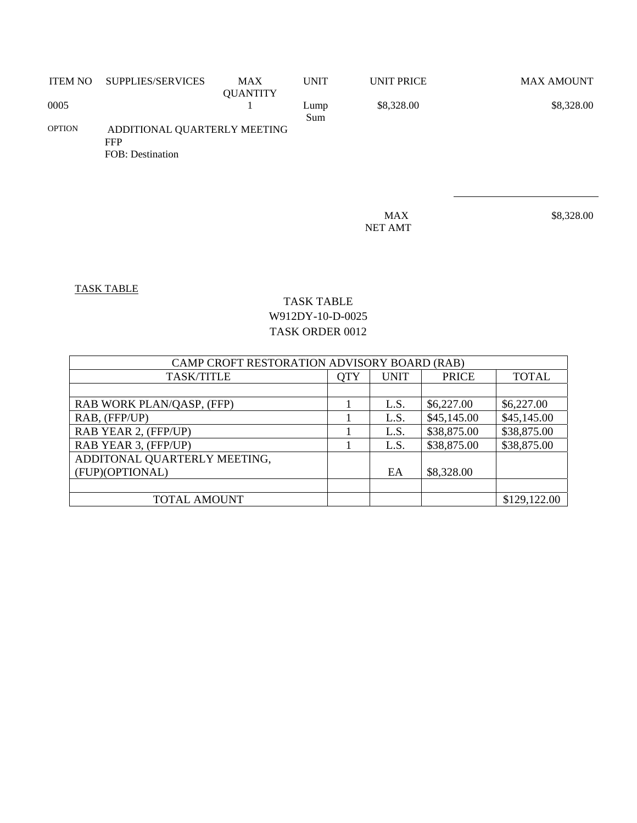| <b>ITEM NO</b> | SUPPLIES/SERVICES            | <b>MAX</b>      | <b>UNIT</b> | <b>UNIT PRICE</b> | <b>MAX AMOUNT</b> |
|----------------|------------------------------|-----------------|-------------|-------------------|-------------------|
|                |                              | <b>QUANTITY</b> |             |                   |                   |
| 0005           |                              |                 | Lump        | \$8,328.00        | \$8,328.00        |
|                |                              |                 | Sum         |                   |                   |
| <b>OPTION</b>  | ADDITIONAL QUARTERLY MEETING |                 |             |                   |                   |
|                | <b>FFP</b>                   |                 |             |                   |                   |
|                | <b>FOB</b> : Destination     |                 |             |                   |                   |
|                |                              |                 |             |                   |                   |
|                |                              |                 |             |                   |                   |

MAX NET AMT \$8,328.00

# TASK TABLE

# TASK TABLE W912DY-10-D-0025 TASK ORDER 0012

| CAMP CROFT RESTORATION ADVISORY BOARD (RAB)                    |  |      |             |              |  |  |
|----------------------------------------------------------------|--|------|-------------|--------------|--|--|
| <b>TASK/TITLE</b><br><b>UNIT</b><br><b>PRICE</b><br><b>QTY</b> |  |      |             |              |  |  |
|                                                                |  |      |             |              |  |  |
| RAB WORK PLAN/QASP, (FFP)                                      |  | L.S. | \$6,227.00  | \$6,227.00   |  |  |
| RAB, (FFP/UP)                                                  |  | L.S. | \$45,145.00 | \$45,145.00  |  |  |
| RAB YEAR 2, (FFP/UP)                                           |  | L.S. | \$38,875.00 | \$38,875.00  |  |  |
| RAB YEAR 3, (FFP/UP)                                           |  | L.S. | \$38,875.00 | \$38,875.00  |  |  |
| ADDITONAL QUARTERLY MEETING,                                   |  |      |             |              |  |  |
| (FUP)(OPTIONAL)                                                |  | EA   | \$8,328.00  |              |  |  |
|                                                                |  |      |             |              |  |  |
| <b>TOTAL AMOUNT</b>                                            |  |      |             | \$129,122.00 |  |  |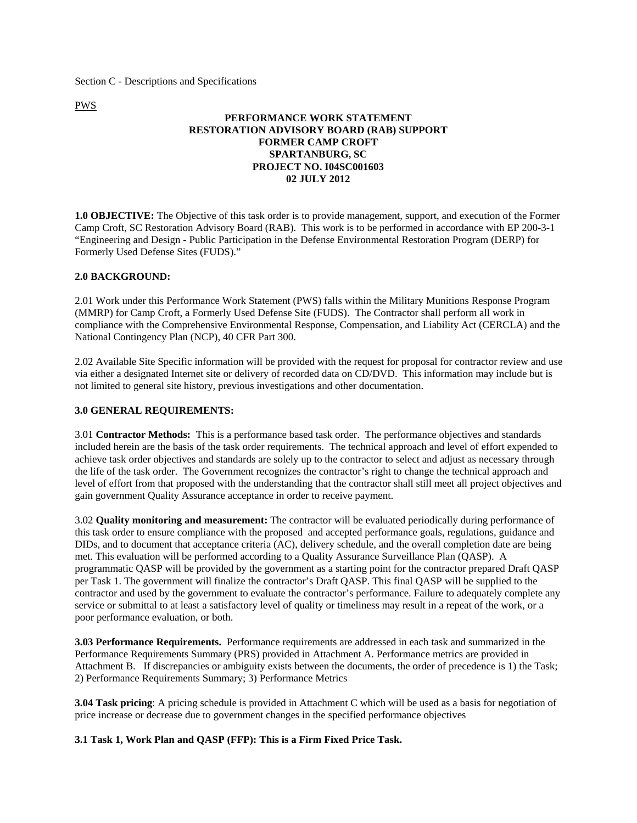Section C - Descriptions and Specifications

PWS

### **PERFORMANCE WORK STATEMENT RESTORATION ADVISORY BOARD (RAB) SUPPORT FORMER CAMP CROFT SPARTANBURG, SC PROJECT NO. I04SC001603 02 JULY 2012**

**1.0 OBJECTIVE:** The Objective of this task order is to provide management, support, and execution of the Former Camp Croft, SC Restoration Advisory Board (RAB). This work is to be performed in accordance with EP 200-3-1 "Engineering and Design - Public Participation in the Defense Environmental Restoration Program (DERP) for Formerly Used Defense Sites (FUDS)."

### **2.0 BACKGROUND:**

2.01 Work under this Performance Work Statement (PWS) falls within the Military Munitions Response Program (MMRP) for Camp Croft, a Formerly Used Defense Site (FUDS). The Contractor shall perform all work in compliance with the Comprehensive Environmental Response, Compensation, and Liability Act (CERCLA) and the National Contingency Plan (NCP), 40 CFR Part 300.

2.02 Available Site Specific information will be provided with the request for proposal for contractor review and use via either a designated Internet site or delivery of recorded data on CD/DVD. This information may include but is not limited to general site history, previous investigations and other documentation.

### **3.0 GENERAL REQUIREMENTS:**

3.01 **Contractor Methods:** This is a performance based task order. The performance objectives and standards included herein are the basis of the task order requirements. The technical approach and level of effort expended to achieve task order objectives and standards are solely up to the contractor to select and adjust as necessary through the life of the task order. The Government recognizes the contractor's right to change the technical approach and level of effort from that proposed with the understanding that the contractor shall still meet all project objectives and gain government Quality Assurance acceptance in order to receive payment.

3.02 **Quality monitoring and measurement:** The contractor will be evaluated periodically during performance of this task order to ensure compliance with the proposed and accepted performance goals, regulations, guidance and DIDs, and to document that acceptance criteria (AC), delivery schedule, and the overall completion date are being met. This evaluation will be performed according to a Quality Assurance Surveillance Plan (QASP). A programmatic QASP will be provided by the government as a starting point for the contractor prepared Draft QASP per Task 1. The government will finalize the contractor's Draft QASP. This final QASP will be supplied to the contractor and used by the government to evaluate the contractor's performance. Failure to adequately complete any service or submittal to at least a satisfactory level of quality or timeliness may result in a repeat of the work, or a poor performance evaluation, or both.

**3.03 Performance Requirements.** Performance requirements are addressed in each task and summarized in the Performance Requirements Summary (PRS) provided in Attachment A. Performance metrics are provided in Attachment B. If discrepancies or ambiguity exists between the documents, the order of precedence is 1) the Task; 2) Performance Requirements Summary; 3) Performance Metrics

**3.04 Task pricing**: A pricing schedule is provided in Attachment C which will be used as a basis for negotiation of price increase or decrease due to government changes in the specified performance objectives

**3.1 Task 1, Work Plan and QASP (FFP): This is a Firm Fixed Price Task.**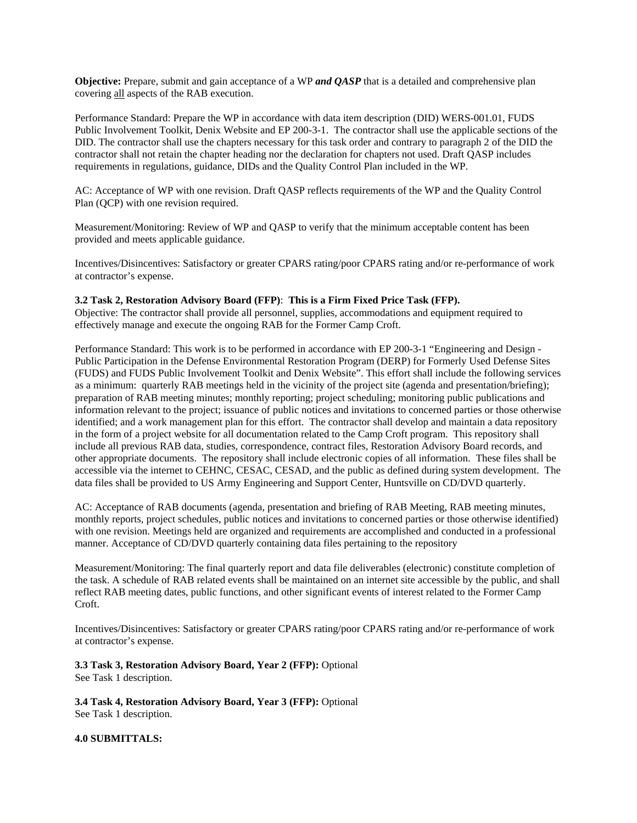**Objective:** Prepare, submit and gain acceptance of a WP **and QASP** that is a detailed and comprehensive plan covering all aspects of the RAB execution.

Performance Standard: Prepare the WP in accordance with data item description (DID) WERS-001.01, FUDS Public Involvement Toolkit, Denix Website and EP 200-3-1. The contractor shall use the applicable sections of the DID. The contractor shall use the chapters necessary for this task order and contrary to paragraph 2 of the DID the contractor shall not retain the chapter heading nor the declaration for chapters not used. Draft QASP includes requirements in regulations, guidance, DIDs and the Quality Control Plan included in the WP.

AC: Acceptance of WP with one revision. Draft QASP reflects requirements of the WP and the Quality Control Plan (OCP) with one revision required.

Measurement/Monitoring: Review of WP and QASP to verify that the minimum acceptable content has been provided and meets applicable guidance.

Incentives/Disincentives: Satisfactory or greater CPARS rating/poor CPARS rating and/or re-performance of work at contractor's expense.

### **3.2 Task 2, Restoration Advisory Board (FFP)**: **This is a Firm Fixed Price Task (FFP).**

Objective: The contractor shall provide all personnel, supplies, accommodations and equipment required to effectively manage and execute the ongoing RAB for the Former Camp Croft.

Performance Standard: This work is to be performed in accordance with EP 200-3-1 "Engineering and Design - Public Participation in the Defense Environmental Restoration Program (DERP) for Formerly Used Defense Sites (FUDS) and FUDS Public Involvement Toolkit and Denix Website". This effort shall include the following services as a minimum: quarterly RAB meetings held in the vicinity of the project site (agenda and presentation/briefing); preparation of RAB meeting minutes; monthly reporting; project scheduling; monitoring public publications and information relevant to the project; issuance of public notices and invitations to concerned parties or those otherwise identified; and a work management plan for this effort. The contractor shall develop and maintain a data repository in the form of a project website for all documentation related to the Camp Croft program. This repository shall include all previous RAB data, studies, correspondence, contract files, Restoration Advisory Board records, and other appropriate documents. The repository shall include electronic copies of all information. These files shall be accessible via the internet to CEHNC, CESAC, CESAD, and the public as defined during system development. The data files shall be provided to US Army Engineering and Support Center, Huntsville on CD/DVD quarterly.

AC: Acceptance of RAB documents (agenda, presentation and briefing of RAB Meeting, RAB meeting minutes, monthly reports, project schedules, public notices and invitations to concerned parties or those otherwise identified) with one revision. Meetings held are organized and requirements are accomplished and conducted in a professional manner. Acceptance of CD/DVD quarterly containing data files pertaining to the repository

Measurement/Monitoring: The final quarterly report and data file deliverables (electronic) constitute completion of the task. A schedule of RAB related events shall be maintained on an internet site accessible by the public, and shall reflect RAB meeting dates, public functions, and other significant events of interest related to the Former Camp Croft.

Incentives/Disincentives: Satisfactory or greater CPARS rating/poor CPARS rating and/or re-performance of work at contractor's expense.

**3.3 Task 3, Restoration Advisory Board, Year 2 (FFP):** Optional See Task 1 description.

**3.4 Task 4, Restoration Advisory Board, Year 3 (FFP):** Optional See Task 1 description.

**4.0 SUBMITTALS:**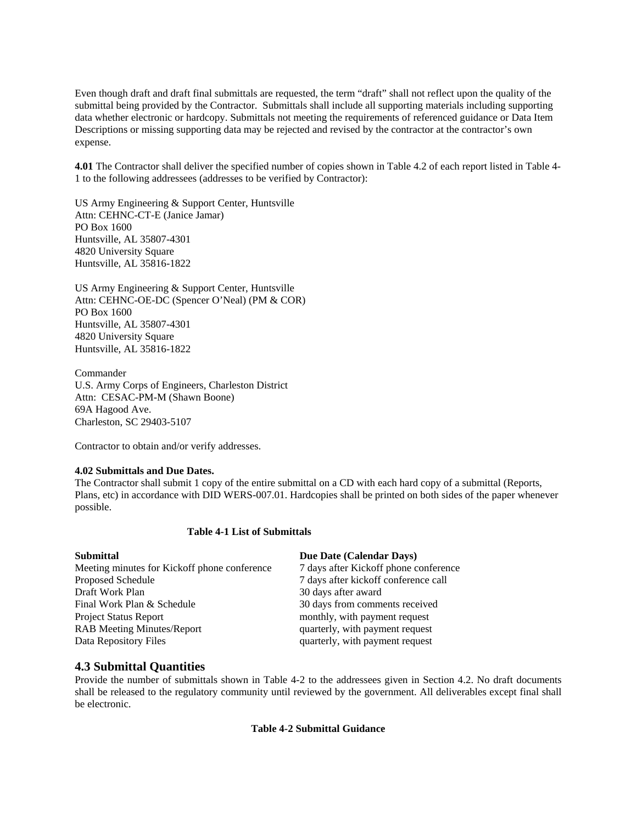Even though draft and draft final submittals are requested, the term "draft" shall not reflect upon the quality of the submittal being provided by the Contractor. Submittals shall include all supporting materials including supporting data whether electronic or hardcopy. Submittals not meeting the requirements of referenced guidance or Data Item Descriptions or missing supporting data may be rejected and revised by the contractor at the contractor's own expense.

**4.01** The Contractor shall deliver the specified number of copies shown in Table 4.2 of each report listed in Table 4- 1 to the following addressees (addresses to be verified by Contractor):

US Army Engineering & Support Center, Huntsville Attn: CEHNC-CT-E (Janice Jamar) PO Box 1600 Huntsville, AL 35807-4301 4820 University Square Huntsville, AL 35816-1822

US Army Engineering & Support Center, Huntsville Attn: CEHNC-OE-DC (Spencer O'Neal) (PM & COR) PO Box 1600 Huntsville, AL 35807-4301 4820 University Square Huntsville, AL 35816-1822

Commander U.S. Army Corps of Engineers, Charleston District Attn: CESAC-PM-M (Shawn Boone) 69A Hagood Ave. Charleston, SC 29403-5107

Contractor to obtain and/or verify addresses.

#### **4.02 Submittals and Due Dates.**

The Contractor shall submit 1 copy of the entire submittal on a CD with each hard copy of a submittal (Reports, Plans, etc) in accordance with DID WERS-007.01. Hardcopies shall be printed on both sides of the paper whenever possible.

### **Table 4-1 List of Submittals**

| <b>Submittal</b>                             | Due Date (Calendar Days)              |
|----------------------------------------------|---------------------------------------|
| Meeting minutes for Kickoff phone conference | 7 days after Kickoff phone conference |
| Proposed Schedule                            | 7 days after kickoff conference call  |
| Draft Work Plan                              | 30 days after award                   |
| Final Work Plan & Schedule                   | 30 days from comments received        |
| <b>Project Status Report</b>                 | monthly, with payment request         |
| <b>RAB Meeting Minutes/Report</b>            | quarterly, with payment request       |
| Data Repository Files                        | quarterly, with payment request       |

### **4.3 Submittal Quantities**

Provide the number of submittals shown in Table 4-2 to the addressees given in Section 4.2. No draft documents shall be released to the regulatory community until reviewed by the government. All deliverables except final shall be electronic.

#### **Table 4-2 Submittal Guidance**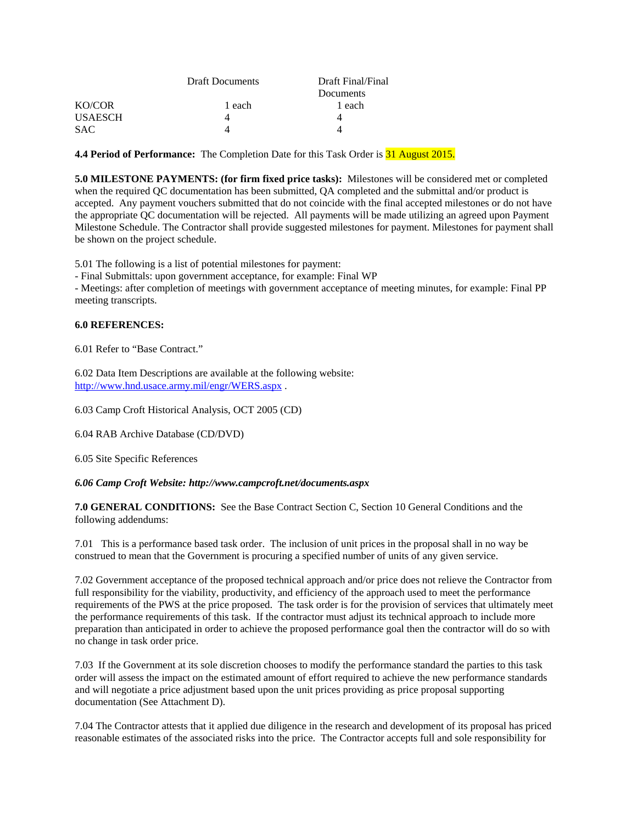|                | <b>Draft Documents</b> | Draft Final/Final |
|----------------|------------------------|-------------------|
|                |                        | Documents         |
| KO/COR         | 1 each                 | 1 each            |
| <b>USAESCH</b> |                        |                   |
| <b>SAC</b>     |                        |                   |

**4.4 Period of Performance:** The Completion Date for this Task Order is **31 August 2015.** 

**5.0 MILESTONE PAYMENTS: (for firm fixed price tasks):** Milestones will be considered met or completed when the required OC documentation has been submitted, OA completed and the submittal and/or product is accepted. Any payment vouchers submitted that do not coincide with the final accepted milestones or do not have the appropriate QC documentation will be rejected. All payments will be made utilizing an agreed upon Payment Milestone Schedule. The Contractor shall provide suggested milestones for payment. Milestones for payment shall be shown on the project schedule.

5.01 The following is a list of potential milestones for payment:

- Final Submittals: upon government acceptance, for example: Final WP

- Meetings: after completion of meetings with government acceptance of meeting minutes, for example: Final PP meeting transcripts.

#### **6.0 REFERENCES:**

6.01 Refer to "Base Contract."

6.02 Data Item Descriptions are available at the following website: http://www.hnd.usace.army.mil/engr/WERS.aspx .

6.03 Camp Croft Historical Analysis, OCT 2005 (CD)

6.04 RAB Archive Database (CD/DVD)

6.05 Site Specific References

#### *6.06 Camp Croft Website: http://www.campcroft.net/documents.aspx*

**7.0 GENERAL CONDITIONS:** See the Base Contract Section C, Section 10 General Conditions and the following addendums:

7.01 This is a performance based task order. The inclusion of unit prices in the proposal shall in no way be construed to mean that the Government is procuring a specified number of units of any given service.

7.02 Government acceptance of the proposed technical approach and/or price does not relieve the Contractor from full responsibility for the viability, productivity, and efficiency of the approach used to meet the performance requirements of the PWS at the price proposed. The task order is for the provision of services that ultimately meet the performance requirements of this task. If the contractor must adjust its technical approach to include more preparation than anticipated in order to achieve the proposed performance goal then the contractor will do so with no change in task order price.

7.03 If the Government at its sole discretion chooses to modify the performance standard the parties to this task order will assess the impact on the estimated amount of effort required to achieve the new performance standards and will negotiate a price adjustment based upon the unit prices providing as price proposal supporting documentation (See Attachment D).

7.04 The Contractor attests that it applied due diligence in the research and development of its proposal has priced reasonable estimates of the associated risks into the price. The Contractor accepts full and sole responsibility for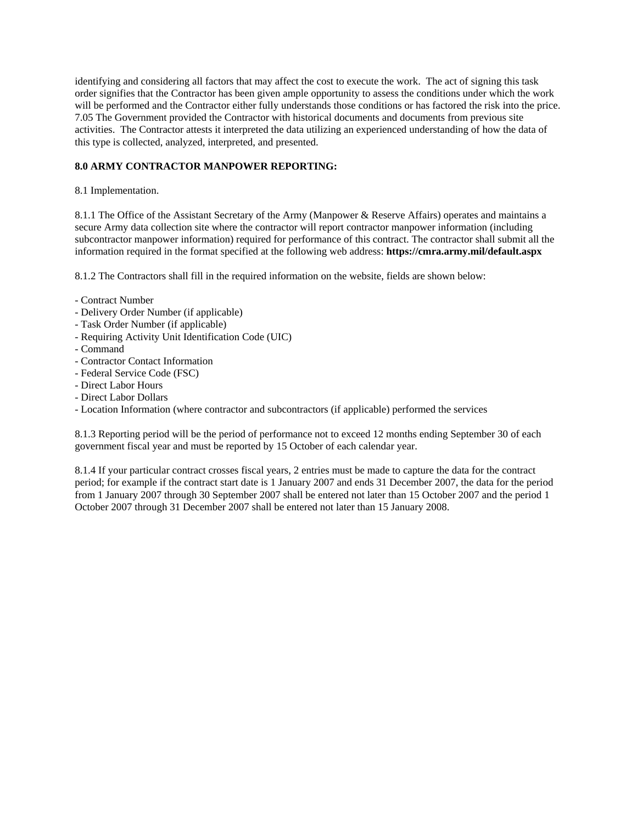identifying and considering all factors that may affect the cost to execute the work. The act of signing this task order signifies that the Contractor has been given ample opportunity to assess the conditions under which the work will be performed and the Contractor either fully understands those conditions or has factored the risk into the price. 7.05 The Government provided the Contractor with historical documents and documents from previous site activities. The Contractor attests it interpreted the data utilizing an experienced understanding of how the data of this type is collected, analyzed, interpreted, and presented.

## **8.0 ARMY CONTRACTOR MANPOWER REPORTING:**

### 8.1 Implementation.

8.1.1 The Office of the Assistant Secretary of the Army (Manpower & Reserve Affairs) operates and maintains a secure Army data collection site where the contractor will report contractor manpower information (including subcontractor manpower information) required for performance of this contract. The contractor shall submit all the information required in the format specified at the following web address: **https://cmra.army.mil/default.aspx**

8.1.2 The Contractors shall fill in the required information on the website, fields are shown below:

- Contract Number
- Delivery Order Number (if applicable)
- Task Order Number (if applicable)
- Requiring Activity Unit Identification Code (UIC)
- Command
- Contractor Contact Information
- Federal Service Code (FSC)
- Direct Labor Hours
- Direct Labor Dollars
- Location Information (where contractor and subcontractors (if applicable) performed the services

8.1.3 Reporting period will be the period of performance not to exceed 12 months ending September 30 of each government fiscal year and must be reported by 15 October of each calendar year.

8.1.4 If your particular contract crosses fiscal years, 2 entries must be made to capture the data for the contract period; for example if the contract start date is 1 January 2007 and ends 31 December 2007, the data for the period from 1 January 2007 through 30 September 2007 shall be entered not later than 15 October 2007 and the period 1 October 2007 through 31 December 2007 shall be entered not later than 15 January 2008.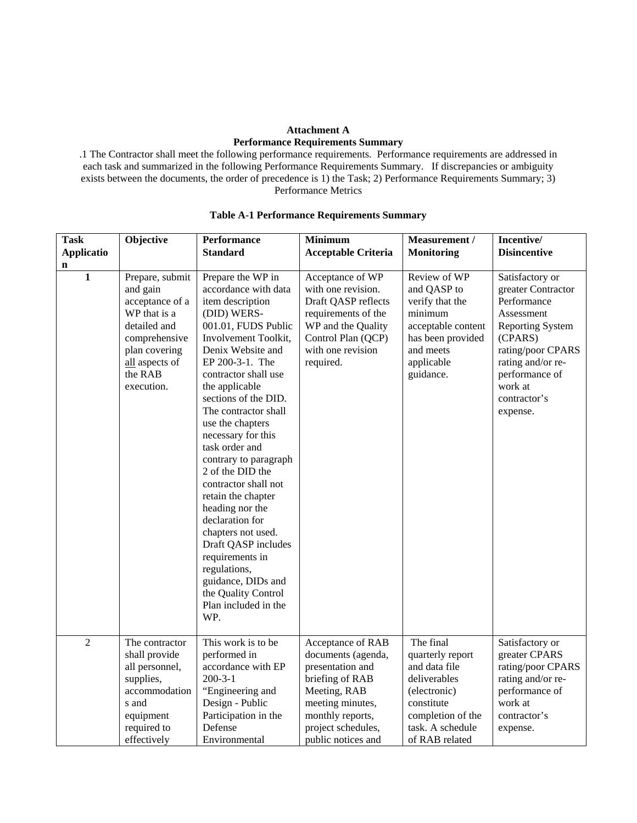### **Attachment A Performance Requirements Summary**

.1 The Contractor shall meet the following performance requirements. Performance requirements are addressed in each task and summarized in the following Performance Requirements Summary. If discrepancies or ambiguity exists between the documents, the order of precedence is 1) the Task; 2) Performance Requirements Summary; 3) Performance Metrics

| <b>Task</b>       | Objective                                                                                                                                                   | <b>Performance</b>                                                                                                                                                                                                                                                                                                                                                                                                                                                                                                                                                                                                     | <b>Minimum</b>                                                                                                                                                                     | Measurement /                                                                                                                                           | Incentive/                                                                                                                                                                                                  |
|-------------------|-------------------------------------------------------------------------------------------------------------------------------------------------------------|------------------------------------------------------------------------------------------------------------------------------------------------------------------------------------------------------------------------------------------------------------------------------------------------------------------------------------------------------------------------------------------------------------------------------------------------------------------------------------------------------------------------------------------------------------------------------------------------------------------------|------------------------------------------------------------------------------------------------------------------------------------------------------------------------------------|---------------------------------------------------------------------------------------------------------------------------------------------------------|-------------------------------------------------------------------------------------------------------------------------------------------------------------------------------------------------------------|
| <b>Applicatio</b> |                                                                                                                                                             | Standard                                                                                                                                                                                                                                                                                                                                                                                                                                                                                                                                                                                                               | <b>Acceptable Criteria</b>                                                                                                                                                         | <b>Monitoring</b>                                                                                                                                       | <b>Disincentive</b>                                                                                                                                                                                         |
| n                 |                                                                                                                                                             |                                                                                                                                                                                                                                                                                                                                                                                                                                                                                                                                                                                                                        |                                                                                                                                                                                    |                                                                                                                                                         |                                                                                                                                                                                                             |
| $\mathbf{1}$      | Prepare, submit<br>and gain<br>acceptance of a<br>WP that is a<br>detailed and<br>comprehensive<br>plan covering<br>all aspects of<br>the RAB<br>execution. | Prepare the WP in<br>accordance with data<br>item description<br>(DID) WERS-<br>001.01, FUDS Public<br>Involvement Toolkit,<br>Denix Website and<br>EP 200-3-1. The<br>contractor shall use<br>the applicable<br>sections of the DID.<br>The contractor shall<br>use the chapters<br>necessary for this<br>task order and<br>contrary to paragraph<br>2 of the DID the<br>contractor shall not<br>retain the chapter<br>heading nor the<br>declaration for<br>chapters not used.<br>Draft QASP includes<br>requirements in<br>regulations,<br>guidance, DIDs and<br>the Quality Control<br>Plan included in the<br>WP. | Acceptance of WP<br>with one revision.<br>Draft QASP reflects<br>requirements of the<br>WP and the Quality<br>Control Plan (QCP)<br>with one revision<br>required.                 | Review of WP<br>and QASP to<br>verify that the<br>minimum<br>acceptable content<br>has been provided<br>and meets<br>applicable<br>guidance.            | Satisfactory or<br>greater Contractor<br>Performance<br>Assessment<br><b>Reporting System</b><br>(CPARS)<br>rating/poor CPARS<br>rating and/or re-<br>performance of<br>work at<br>contractor's<br>expense. |
| $\overline{2}$    | The contractor<br>shall provide<br>all personnel,<br>supplies,<br>accommodation<br>s and<br>equipment<br>required to<br>effectively                         | This work is to be<br>performed in<br>accordance with EP<br>$200 - 3 - 1$<br>"Engineering and<br>Design - Public<br>Participation in the<br>Defense<br>Environmental                                                                                                                                                                                                                                                                                                                                                                                                                                                   | Acceptance of RAB<br>documents (agenda,<br>presentation and<br>briefing of RAB<br>Meeting, RAB<br>meeting minutes,<br>monthly reports,<br>project schedules,<br>public notices and | The final<br>quarterly report<br>and data file<br>deliverables<br>(electronic)<br>constitute<br>completion of the<br>task. A schedule<br>of RAB related | Satisfactory or<br>greater CPARS<br>rating/poor CPARS<br>rating and/or re-<br>performance of<br>work at<br>contractor's<br>expense.                                                                         |

### **Table A-1 Performance Requirements Summary**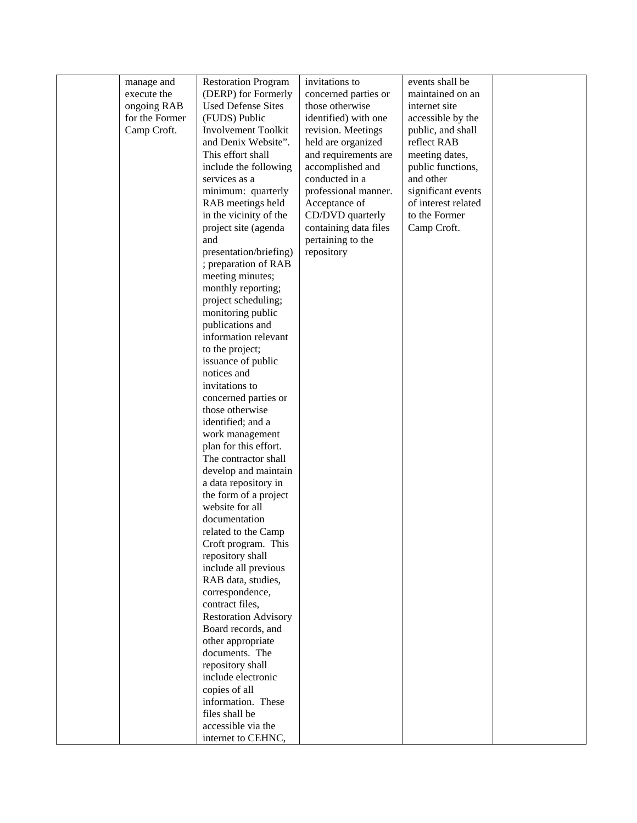|                | <b>Restoration Program</b>  | invitations to        | events shall be     |  |
|----------------|-----------------------------|-----------------------|---------------------|--|
| manage and     |                             |                       |                     |  |
| execute the    | (DERP) for Formerly         | concerned parties or  | maintained on an    |  |
| ongoing RAB    | <b>Used Defense Sites</b>   | those otherwise       | internet site       |  |
| for the Former | (FUDS) Public               | identified) with one  | accessible by the   |  |
| Camp Croft.    | Involvement Toolkit         | revision. Meetings    | public, and shall   |  |
|                | and Denix Website".         | held are organized    | reflect RAB         |  |
|                | This effort shall           | and requirements are  | meeting dates,      |  |
|                | include the following       | accomplished and      | public functions,   |  |
|                | services as a               | conducted in a        | and other           |  |
|                | minimum: quarterly          | professional manner.  | significant events  |  |
|                |                             |                       | of interest related |  |
|                | RAB meetings held           | Acceptance of         |                     |  |
|                | in the vicinity of the      | CD/DVD quarterly      | to the Former       |  |
|                | project site (agenda        | containing data files | Camp Croft.         |  |
|                | and                         | pertaining to the     |                     |  |
|                | presentation/briefing)      | repository            |                     |  |
|                | ; preparation of RAB        |                       |                     |  |
|                | meeting minutes;            |                       |                     |  |
|                | monthly reporting;          |                       |                     |  |
|                | project scheduling;         |                       |                     |  |
|                | monitoring public           |                       |                     |  |
|                | publications and            |                       |                     |  |
|                | information relevant        |                       |                     |  |
|                | to the project;             |                       |                     |  |
|                |                             |                       |                     |  |
|                | issuance of public          |                       |                     |  |
|                | notices and                 |                       |                     |  |
|                | invitations to              |                       |                     |  |
|                | concerned parties or        |                       |                     |  |
|                | those otherwise             |                       |                     |  |
|                | identified; and a           |                       |                     |  |
|                | work management             |                       |                     |  |
|                | plan for this effort.       |                       |                     |  |
|                | The contractor shall        |                       |                     |  |
|                | develop and maintain        |                       |                     |  |
|                | a data repository in        |                       |                     |  |
|                | the form of a project       |                       |                     |  |
|                | website for all             |                       |                     |  |
|                | documentation               |                       |                     |  |
|                | related to the Camp         |                       |                     |  |
|                | Croft program. This         |                       |                     |  |
|                | repository shall            |                       |                     |  |
|                | include all previous        |                       |                     |  |
|                | RAB data, studies,          |                       |                     |  |
|                | correspondence,             |                       |                     |  |
|                | contract files,             |                       |                     |  |
|                | <b>Restoration Advisory</b> |                       |                     |  |
|                | Board records, and          |                       |                     |  |
|                |                             |                       |                     |  |
|                | other appropriate           |                       |                     |  |
|                | documents. The              |                       |                     |  |
|                | repository shall            |                       |                     |  |
|                | include electronic          |                       |                     |  |
|                | copies of all               |                       |                     |  |
|                | information. These          |                       |                     |  |
|                | files shall be              |                       |                     |  |
|                | accessible via the          |                       |                     |  |
|                | internet to CEHNC,          |                       |                     |  |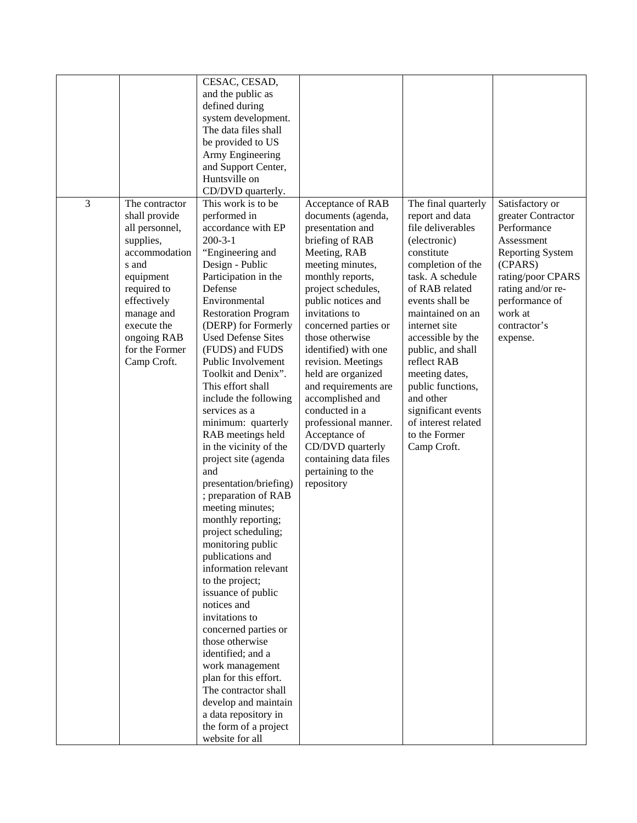|   |                | CESAC, CESAD,                     |                       |                     |                         |
|---|----------------|-----------------------------------|-----------------------|---------------------|-------------------------|
|   |                | and the public as                 |                       |                     |                         |
|   |                | defined during                    |                       |                     |                         |
|   |                | system development.               |                       |                     |                         |
|   |                | The data files shall              |                       |                     |                         |
|   |                | be provided to US                 |                       |                     |                         |
|   |                | Army Engineering                  |                       |                     |                         |
|   |                |                                   |                       |                     |                         |
|   |                | and Support Center,               |                       |                     |                         |
|   |                | Huntsville on                     |                       |                     |                         |
|   |                | CD/DVD quarterly.                 |                       |                     |                         |
| 3 | The contractor | This work is to be                | Acceptance of RAB     | The final quarterly | Satisfactory or         |
|   | shall provide  | performed in                      | documents (agenda,    | report and data     | greater Contractor      |
|   | all personnel, | accordance with EP                | presentation and      | file deliverables   | Performance             |
|   | supplies,      | $200 - 3 - 1$                     | briefing of RAB       | (electronic)        | Assessment              |
|   | accommodation  | "Engineering and                  | Meeting, RAB          | constitute          | <b>Reporting System</b> |
|   | s and          | Design - Public                   | meeting minutes,      | completion of the   | (CPARS)                 |
|   | equipment      | Participation in the              | monthly reports,      | task. A schedule    | rating/poor CPARS       |
|   | required to    | Defense                           | project schedules,    | of RAB related      | rating and/or re-       |
|   | effectively    | Environmental                     | public notices and    | events shall be     | performance of          |
|   | manage and     | <b>Restoration Program</b>        | invitations to        | maintained on an    | work at                 |
|   | execute the    | (DERP) for Formerly               | concerned parties or  | internet site       | contractor's            |
|   | ongoing RAB    | <b>Used Defense Sites</b>         | those otherwise       | accessible by the   | expense.                |
|   | for the Former | (FUDS) and FUDS                   | identified) with one  | public, and shall   |                         |
|   | Camp Croft.    | Public Involvement                | revision. Meetings    | reflect RAB         |                         |
|   |                | Toolkit and Denix".               | held are organized    | meeting dates,      |                         |
|   |                | This effort shall                 | and requirements are  | public functions,   |                         |
|   |                | include the following             | accomplished and      | and other           |                         |
|   |                | services as a                     | conducted in a        | significant events  |                         |
|   |                | minimum: quarterly                | professional manner.  | of interest related |                         |
|   |                | RAB meetings held                 | Acceptance of         | to the Former       |                         |
|   |                | in the vicinity of the            | CD/DVD quarterly      | Camp Croft.         |                         |
|   |                | project site (agenda              | containing data files |                     |                         |
|   |                | and                               | pertaining to the     |                     |                         |
|   |                | presentation/briefing)            | repository            |                     |                         |
|   |                | ; preparation of RAB              |                       |                     |                         |
|   |                | meeting minutes;                  |                       |                     |                         |
|   |                | monthly reporting;                |                       |                     |                         |
|   |                | project scheduling;               |                       |                     |                         |
|   |                | monitoring public                 |                       |                     |                         |
|   |                | publications and                  |                       |                     |                         |
|   |                | information relevant              |                       |                     |                         |
|   |                |                                   |                       |                     |                         |
|   |                | to the project;                   |                       |                     |                         |
|   |                | issuance of public<br>notices and |                       |                     |                         |
|   |                | invitations to                    |                       |                     |                         |
|   |                |                                   |                       |                     |                         |
|   |                | concerned parties or              |                       |                     |                         |
|   |                | those otherwise                   |                       |                     |                         |
|   |                | identified; and a                 |                       |                     |                         |
|   |                | work management                   |                       |                     |                         |
|   |                | plan for this effort.             |                       |                     |                         |
|   |                | The contractor shall              |                       |                     |                         |
|   |                | develop and maintain              |                       |                     |                         |
|   |                | a data repository in              |                       |                     |                         |
|   |                | the form of a project             |                       |                     |                         |
|   |                | website for all                   |                       |                     |                         |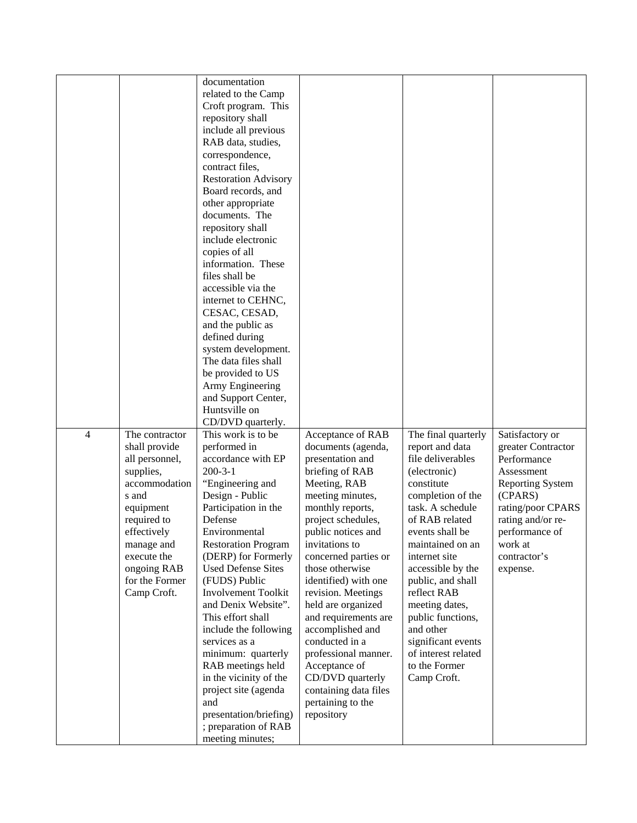|   |                | documentation               |                       |                     |                         |
|---|----------------|-----------------------------|-----------------------|---------------------|-------------------------|
|   |                | related to the Camp         |                       |                     |                         |
|   |                | Croft program. This         |                       |                     |                         |
|   |                | repository shall            |                       |                     |                         |
|   |                | include all previous        |                       |                     |                         |
|   |                | RAB data, studies,          |                       |                     |                         |
|   |                | correspondence,             |                       |                     |                         |
|   |                | contract files,             |                       |                     |                         |
|   |                | <b>Restoration Advisory</b> |                       |                     |                         |
|   |                | Board records, and          |                       |                     |                         |
|   |                | other appropriate           |                       |                     |                         |
|   |                | documents. The              |                       |                     |                         |
|   |                | repository shall            |                       |                     |                         |
|   |                | include electronic          |                       |                     |                         |
|   |                | copies of all               |                       |                     |                         |
|   |                | information. These          |                       |                     |                         |
|   |                | files shall be              |                       |                     |                         |
|   |                | accessible via the          |                       |                     |                         |
|   |                | internet to CEHNC,          |                       |                     |                         |
|   |                |                             |                       |                     |                         |
|   |                | CESAC, CESAD,               |                       |                     |                         |
|   |                | and the public as           |                       |                     |                         |
|   |                | defined during              |                       |                     |                         |
|   |                | system development.         |                       |                     |                         |
|   |                | The data files shall        |                       |                     |                         |
|   |                | be provided to US           |                       |                     |                         |
|   |                | Army Engineering            |                       |                     |                         |
|   |                | and Support Center,         |                       |                     |                         |
|   |                | Huntsville on               |                       |                     |                         |
|   |                | CD/DVD quarterly.           |                       |                     |                         |
| 4 | The contractor | This work is to be          | Acceptance of RAB     | The final quarterly | Satisfactory or         |
|   | shall provide  | performed in                | documents (agenda,    | report and data     | greater Contractor      |
|   | all personnel, | accordance with EP          | presentation and      | file deliverables   | Performance             |
|   | supplies,      | $200 - 3 - 1$               | briefing of RAB       | (electronic)        | Assessment              |
|   | accommodation  | "Engineering and            | Meeting, RAB          | constitute          | <b>Reporting System</b> |
|   | s and          | Design - Public             | meeting minutes,      | completion of the   | (CPARS)                 |
|   | equipment      | Participation in the        | monthly reports,      | task. A schedule    | rating/poor CPARS       |
|   | required to    | Defense                     | project schedules,    | of RAB related      | rating and/or re-       |
|   | effectively    | Environmental               | public notices and    | events shall be     | performance of          |
|   | manage and     | <b>Restoration Program</b>  | invitations to        | maintained on an    | work at                 |
|   | execute the    | (DERP) for Formerly         | concerned parties or  | internet site       | contractor's            |
|   | ongoing RAB    | <b>Used Defense Sites</b>   | those otherwise       | accessible by the   | expense.                |
|   | for the Former |                             | identified) with one  | public, and shall   |                         |
|   |                | (FUDS) Public               |                       | reflect RAB         |                         |
|   | Camp Croft.    | Involvement Toolkit         | revision. Meetings    |                     |                         |
|   |                | and Denix Website".         | held are organized    | meeting dates,      |                         |
|   |                | This effort shall           | and requirements are  | public functions,   |                         |
|   |                | include the following       | accomplished and      | and other           |                         |
|   |                | services as a               | conducted in a        | significant events  |                         |
|   |                | minimum: quarterly          | professional manner.  | of interest related |                         |
|   |                | RAB meetings held           | Acceptance of         | to the Former       |                         |
|   |                | in the vicinity of the      | CD/DVD quarterly      | Camp Croft.         |                         |
|   |                | project site (agenda        | containing data files |                     |                         |
|   |                | and                         | pertaining to the     |                     |                         |
|   |                | presentation/briefing)      | repository            |                     |                         |
|   |                | ; preparation of RAB        |                       |                     |                         |
|   |                | meeting minutes;            |                       |                     |                         |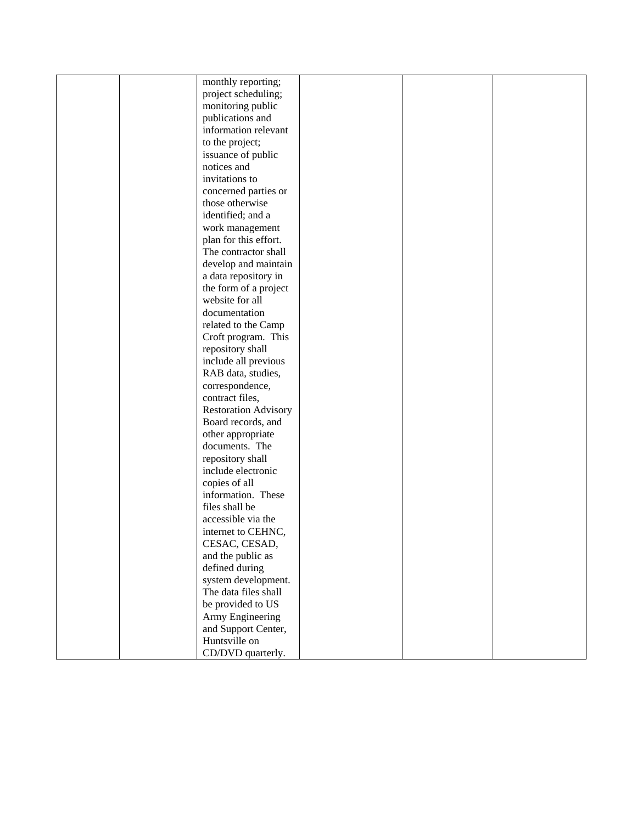|  | monthly reporting;          |  |  |
|--|-----------------------------|--|--|
|  | project scheduling;         |  |  |
|  | monitoring public           |  |  |
|  | publications and            |  |  |
|  | information relevant        |  |  |
|  |                             |  |  |
|  | to the project;             |  |  |
|  | issuance of public          |  |  |
|  | notices and                 |  |  |
|  | invitations to              |  |  |
|  | concerned parties or        |  |  |
|  | those otherwise             |  |  |
|  | identified; and a           |  |  |
|  | work management             |  |  |
|  | plan for this effort.       |  |  |
|  | The contractor shall        |  |  |
|  | develop and maintain        |  |  |
|  | a data repository in        |  |  |
|  | the form of a project       |  |  |
|  | website for all             |  |  |
|  | documentation               |  |  |
|  |                             |  |  |
|  | related to the Camp         |  |  |
|  | Croft program. This         |  |  |
|  | repository shall            |  |  |
|  | include all previous        |  |  |
|  | RAB data, studies,          |  |  |
|  | correspondence,             |  |  |
|  | contract files,             |  |  |
|  | <b>Restoration Advisory</b> |  |  |
|  | Board records, and          |  |  |
|  | other appropriate           |  |  |
|  | documents. The              |  |  |
|  | repository shall            |  |  |
|  | include electronic          |  |  |
|  |                             |  |  |
|  | copies of all               |  |  |
|  | information. These          |  |  |
|  | files shall be              |  |  |
|  | accessible via the          |  |  |
|  | internet to CEHNC,          |  |  |
|  | CESAC, CESAD,               |  |  |
|  | and the public as           |  |  |
|  | defined during              |  |  |
|  | system development.         |  |  |
|  | The data files shall        |  |  |
|  | be provided to US           |  |  |
|  | Army Engineering            |  |  |
|  | and Support Center,         |  |  |
|  | Huntsville on               |  |  |
|  | CD/DVD quarterly.           |  |  |
|  |                             |  |  |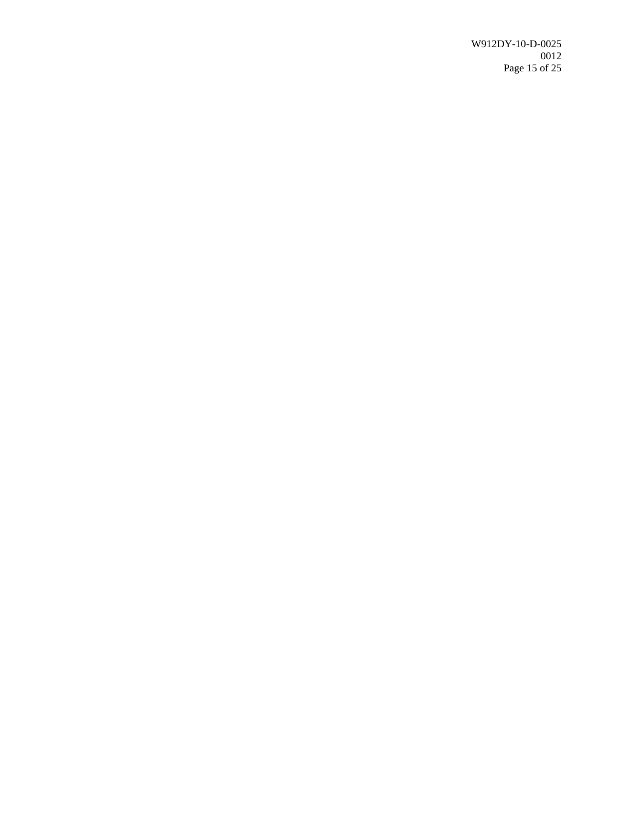W912DY-10-D-0025 0012 Page 15 of 25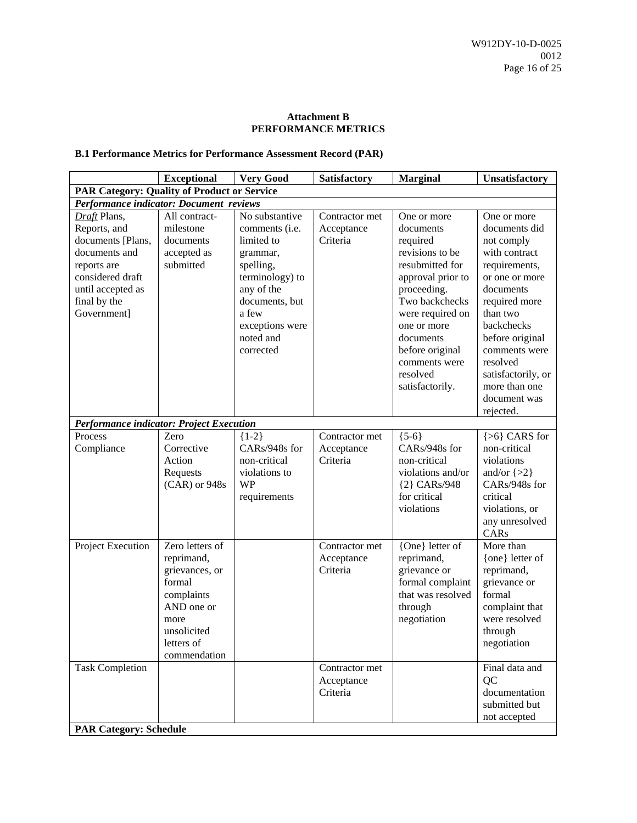### **Attachment B PERFORMANCE METRICS**

# **B.1 Performance Metrics for Performance Assessment Record (PAR)**

|                                                                                                                                                           | <b>Exceptional</b>                                                                                                                         | <b>Very Good</b>                                                                                                                                                                 | Satisfactory                             | <b>Marginal</b>                                                                                                                                                                                                                                     | Unsatisfactory                                                                                                                                                                                                                                                             |
|-----------------------------------------------------------------------------------------------------------------------------------------------------------|--------------------------------------------------------------------------------------------------------------------------------------------|----------------------------------------------------------------------------------------------------------------------------------------------------------------------------------|------------------------------------------|-----------------------------------------------------------------------------------------------------------------------------------------------------------------------------------------------------------------------------------------------------|----------------------------------------------------------------------------------------------------------------------------------------------------------------------------------------------------------------------------------------------------------------------------|
| <b>PAR Category: Quality of Product or Service</b>                                                                                                        |                                                                                                                                            |                                                                                                                                                                                  |                                          |                                                                                                                                                                                                                                                     |                                                                                                                                                                                                                                                                            |
| Performance indicator: Document reviews                                                                                                                   |                                                                                                                                            |                                                                                                                                                                                  |                                          |                                                                                                                                                                                                                                                     |                                                                                                                                                                                                                                                                            |
| Draft Plans,<br>Reports, and<br>documents [Plans,<br>documents and<br>reports are<br>considered draft<br>until accepted as<br>final by the<br>Government] | All contract-<br>milestone<br>documents<br>accepted as<br>submitted                                                                        | No substantive<br>comments (i.e.<br>limited to<br>grammar,<br>spelling,<br>terminology) to<br>any of the<br>documents, but<br>a few<br>exceptions were<br>noted and<br>corrected | Contractor met<br>Acceptance<br>Criteria | One or more<br>documents<br>required<br>revisions to be<br>resubmitted for<br>approval prior to<br>proceeding.<br>Two backchecks<br>were required on<br>one or more<br>documents<br>before original<br>comments were<br>resolved<br>satisfactorily. | One or more<br>documents did<br>not comply<br>with contract<br>requirements,<br>or one or more<br>documents<br>required more<br>than two<br>backchecks<br>before original<br>comments were<br>resolved<br>satisfactorily, or<br>more than one<br>document was<br>rejected. |
| Performance indicator: Project Execution                                                                                                                  |                                                                                                                                            |                                                                                                                                                                                  |                                          |                                                                                                                                                                                                                                                     |                                                                                                                                                                                                                                                                            |
| Process<br>Compliance                                                                                                                                     | Zero<br>Corrective<br>Action<br>Requests<br>$(CAR)$ or 948s                                                                                | ${1-2}$<br>CARs/948s for<br>non-critical<br>violations to<br><b>WP</b><br>requirements                                                                                           | Contractor met<br>Acceptance<br>Criteria | ${5-6}$<br>CARs/948s for<br>non-critical<br>violations and/or<br>${2}$ CARs/948<br>for critical<br>violations                                                                                                                                       | $\{>6\}$ CARS for<br>non-critical<br>violations<br>and/or $\{>2\}$<br>CARs/948s for<br>critical<br>violations, or<br>any unresolved<br>CARs                                                                                                                                |
| Project Execution                                                                                                                                         | Zero letters of<br>reprimand,<br>grievances, or<br>formal<br>complaints<br>AND one or<br>more<br>unsolicited<br>letters of<br>commendation |                                                                                                                                                                                  | Contractor met<br>Acceptance<br>Criteria | {One} letter of<br>reprimand,<br>grievance or<br>formal complaint<br>that was resolved<br>through<br>negotiation                                                                                                                                    | More than<br>{one} letter of<br>reprimand,<br>grievance or<br>formal<br>complaint that<br>were resolved<br>through<br>negotiation                                                                                                                                          |
| <b>Task Completion</b>                                                                                                                                    |                                                                                                                                            |                                                                                                                                                                                  | Contractor met<br>Acceptance<br>Criteria |                                                                                                                                                                                                                                                     | Final data and<br>QC<br>documentation<br>submitted but<br>not accepted                                                                                                                                                                                                     |
| <b>PAR Category: Schedule</b>                                                                                                                             |                                                                                                                                            |                                                                                                                                                                                  |                                          |                                                                                                                                                                                                                                                     |                                                                                                                                                                                                                                                                            |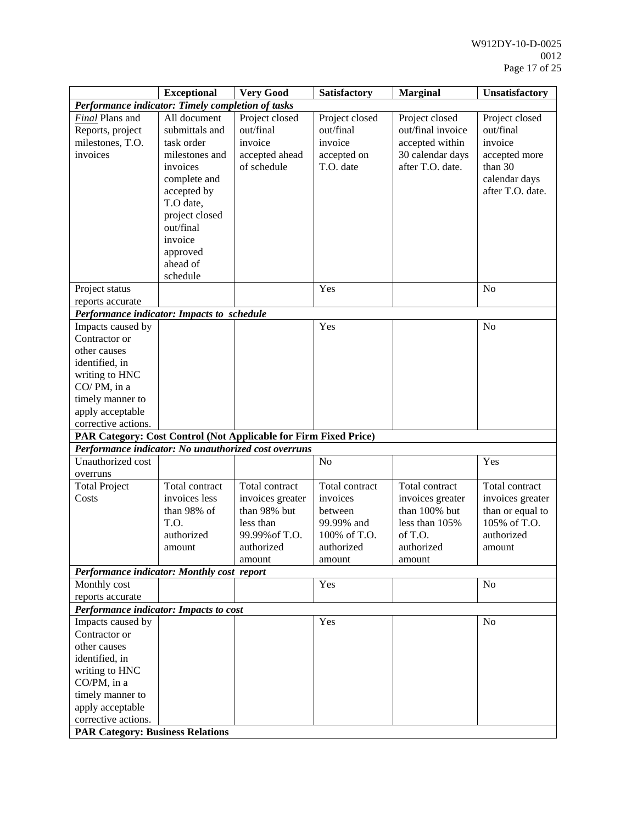|                                                                  | <b>Exceptional</b> | <b>Very Good</b> | Satisfactory   | <b>Marginal</b>   | Unsatisfactory   |
|------------------------------------------------------------------|--------------------|------------------|----------------|-------------------|------------------|
| Performance indicator: Timely completion of tasks                |                    |                  |                |                   |                  |
| Final Plans and                                                  | All document       | Project closed   | Project closed | Project closed    | Project closed   |
| Reports, project                                                 | submittals and     | out/final        | out/final      | out/final invoice | out/final        |
| milestones, T.O.                                                 | task order         | invoice          | invoice        | accepted within   | invoice          |
| invoices                                                         | milestones and     | accepted ahead   | accepted on    | 30 calendar days  | accepted more    |
|                                                                  | invoices           | of schedule      | T.O. date      | after T.O. date.  | than 30          |
|                                                                  | complete and       |                  |                |                   | calendar days    |
|                                                                  | accepted by        |                  |                |                   | after T.O. date. |
|                                                                  | T.O date,          |                  |                |                   |                  |
|                                                                  | project closed     |                  |                |                   |                  |
|                                                                  | out/final          |                  |                |                   |                  |
|                                                                  | invoice            |                  |                |                   |                  |
|                                                                  | approved           |                  |                |                   |                  |
|                                                                  | ahead of           |                  |                |                   |                  |
|                                                                  | schedule           |                  |                |                   |                  |
| Project status                                                   |                    |                  | Yes            |                   | N <sub>o</sub>   |
| reports accurate                                                 |                    |                  |                |                   |                  |
| Performance indicator: Impacts to schedule                       |                    |                  |                |                   |                  |
| Impacts caused by                                                |                    |                  | Yes            |                   | N <sub>o</sub>   |
| Contractor or                                                    |                    |                  |                |                   |                  |
| other causes                                                     |                    |                  |                |                   |                  |
| identified, in                                                   |                    |                  |                |                   |                  |
| writing to HNC<br>CO/PM, in a                                    |                    |                  |                |                   |                  |
| timely manner to                                                 |                    |                  |                |                   |                  |
| apply acceptable                                                 |                    |                  |                |                   |                  |
| corrective actions.                                              |                    |                  |                |                   |                  |
| PAR Category: Cost Control (Not Applicable for Firm Fixed Price) |                    |                  |                |                   |                  |
| Performance indicator: No unauthorized cost overruns             |                    |                  |                |                   |                  |
| Unauthorized cost                                                |                    |                  | N <sub>o</sub> |                   | Yes              |
| overruns                                                         |                    |                  |                |                   |                  |
| <b>Total Project</b>                                             | Total contract     | Total contract   | Total contract | Total contract    | Total contract   |
| Costs                                                            | invoices less      | invoices greater | invoices       | invoices greater  | invoices greater |
|                                                                  | than 98% of        | than 98% but     | between        | than 100% but     | than or equal to |
|                                                                  | T.O.               | less than        | 99.99% and     | less than 105%    | 105% of T.O.     |
|                                                                  | authorized         | 99.99% of T.O.   | 100% of T.O.   | of T.O.           | authorized       |
|                                                                  | amount             | authorized       | authorized     | authorized        | amount           |
|                                                                  |                    | amount           | amount         | amount            |                  |
| Performance indicator: Monthly cost report                       |                    |                  |                |                   |                  |
| Monthly cost                                                     |                    |                  | Yes            |                   | N <sub>0</sub>   |
| reports accurate                                                 |                    |                  |                |                   |                  |
| Performance indicator: Impacts to cost                           |                    |                  |                |                   |                  |
| Impacts caused by                                                |                    |                  | Yes            |                   | N <sub>0</sub>   |
| Contractor or                                                    |                    |                  |                |                   |                  |
| other causes                                                     |                    |                  |                |                   |                  |
| identified, in                                                   |                    |                  |                |                   |                  |
| writing to HNC                                                   |                    |                  |                |                   |                  |
| CO/PM, in a                                                      |                    |                  |                |                   |                  |
|                                                                  |                    |                  |                |                   |                  |
| timely manner to                                                 |                    |                  |                |                   |                  |
| apply acceptable                                                 |                    |                  |                |                   |                  |
| corrective actions.                                              |                    |                  |                |                   |                  |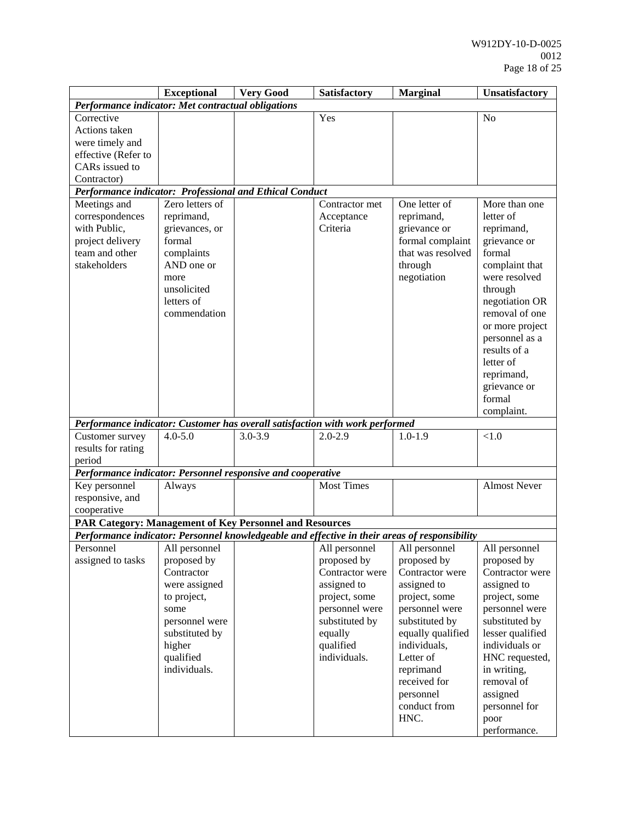|                                                                              | <b>Exceptional</b> | <b>Very Good</b> | <b>Satisfactory</b> | <b>Marginal</b>                                                                               | <b>Unsatisfactory</b>          |
|------------------------------------------------------------------------------|--------------------|------------------|---------------------|-----------------------------------------------------------------------------------------------|--------------------------------|
| Performance indicator: Met contractual obligations                           |                    |                  |                     |                                                                                               |                                |
| Corrective                                                                   |                    |                  | Yes                 |                                                                                               | N <sub>o</sub>                 |
| Actions taken                                                                |                    |                  |                     |                                                                                               |                                |
| were timely and                                                              |                    |                  |                     |                                                                                               |                                |
| effective (Refer to                                                          |                    |                  |                     |                                                                                               |                                |
| CARs issued to                                                               |                    |                  |                     |                                                                                               |                                |
| Contractor)                                                                  |                    |                  |                     |                                                                                               |                                |
| Performance indicator: Professional and Ethical Conduct                      |                    |                  |                     |                                                                                               |                                |
| Meetings and                                                                 | Zero letters of    |                  | Contractor met      | One letter of                                                                                 | More than one                  |
| correspondences                                                              | reprimand,         |                  | Acceptance          | reprimand,                                                                                    | letter of                      |
| with Public,                                                                 | grievances, or     |                  | Criteria            | grievance or                                                                                  | reprimand,                     |
| project delivery                                                             | formal             |                  |                     | formal complaint                                                                              | grievance or                   |
| team and other                                                               | complaints         |                  |                     | that was resolved                                                                             | formal                         |
| stakeholders                                                                 | AND one or         |                  |                     | through                                                                                       | complaint that                 |
|                                                                              | more               |                  |                     | negotiation                                                                                   | were resolved                  |
|                                                                              | unsolicited        |                  |                     |                                                                                               | through                        |
|                                                                              | letters of         |                  |                     |                                                                                               | negotiation OR                 |
|                                                                              | commendation       |                  |                     |                                                                                               | removal of one                 |
|                                                                              |                    |                  |                     |                                                                                               | or more project                |
|                                                                              |                    |                  |                     |                                                                                               |                                |
|                                                                              |                    |                  |                     |                                                                                               | personnel as a<br>results of a |
|                                                                              |                    |                  |                     |                                                                                               |                                |
|                                                                              |                    |                  |                     |                                                                                               | letter of                      |
|                                                                              |                    |                  |                     |                                                                                               | reprimand,                     |
|                                                                              |                    |                  |                     |                                                                                               | grievance or                   |
|                                                                              |                    |                  |                     |                                                                                               | formal                         |
|                                                                              |                    |                  |                     |                                                                                               | complaint.                     |
| Performance indicator: Customer has overall satisfaction with work performed |                    |                  |                     |                                                                                               |                                |
| Customer survey                                                              | $4.0 - 5.0$        | $3.0 - 3.9$      | $2.0 - 2.9$         | $1.0 - 1.9$                                                                                   | < 1.0                          |
| results for rating                                                           |                    |                  |                     |                                                                                               |                                |
| period                                                                       |                    |                  |                     |                                                                                               |                                |
| Performance indicator: Personnel responsive and cooperative                  |                    |                  |                     |                                                                                               |                                |
| Key personnel                                                                | Always             |                  | <b>Most Times</b>   |                                                                                               | <b>Almost Never</b>            |
| responsive, and                                                              |                    |                  |                     |                                                                                               |                                |
| cooperative                                                                  |                    |                  |                     |                                                                                               |                                |
| PAR Category: Management of Key Personnel and Resources                      |                    |                  |                     |                                                                                               |                                |
|                                                                              |                    |                  |                     | Performance indicator: Personnel knowledgeable and effective in their areas of responsibility |                                |
| Personnel                                                                    | All personnel      |                  | All personnel       | All personnel                                                                                 | All personnel                  |
| assigned to tasks                                                            | proposed by        |                  | proposed by         | proposed by                                                                                   | proposed by                    |
|                                                                              | Contractor         |                  | Contractor were     | Contractor were                                                                               | Contractor were                |
|                                                                              | were assigned      |                  | assigned to         | assigned to                                                                                   | assigned to                    |
|                                                                              | to project,        |                  | project, some       | project, some                                                                                 | project, some                  |
|                                                                              | some               |                  | personnel were      | personnel were                                                                                | personnel were                 |
|                                                                              | personnel were     |                  | substituted by      | substituted by                                                                                | substituted by                 |
|                                                                              | substituted by     |                  | equally             | equally qualified                                                                             | lesser qualified               |
|                                                                              | higher             |                  | qualified           | individuals,                                                                                  | individuals or                 |
|                                                                              | qualified          |                  | individuals.        | Letter of                                                                                     | HNC requested,                 |
|                                                                              | individuals.       |                  |                     | reprimand                                                                                     | in writing,                    |
|                                                                              |                    |                  |                     | received for                                                                                  | removal of                     |
|                                                                              |                    |                  |                     | personnel                                                                                     | assigned                       |
|                                                                              |                    |                  |                     | conduct from                                                                                  | personnel for                  |
|                                                                              |                    |                  |                     | HNC.                                                                                          | poor                           |
|                                                                              |                    |                  |                     |                                                                                               | performance.                   |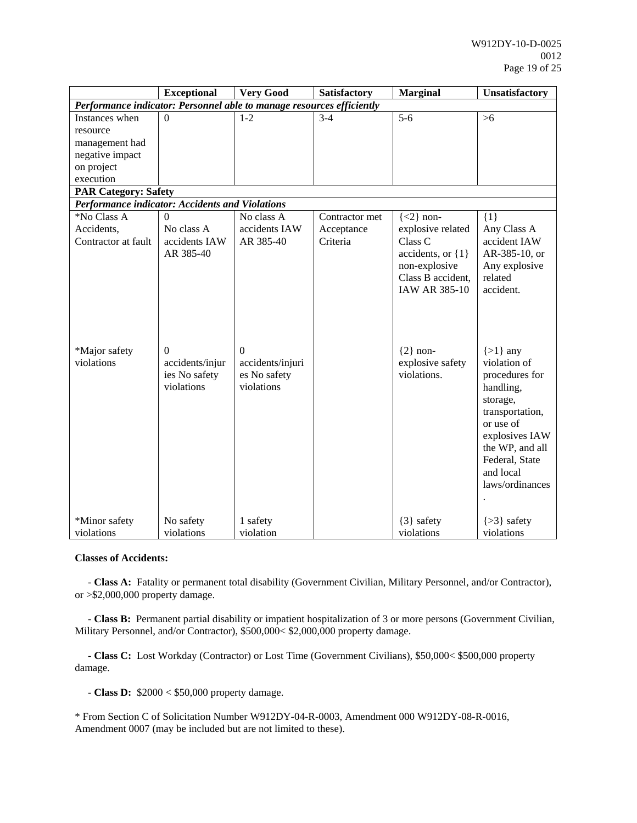|                                                                       | <b>Exceptional</b> | <b>Very Good</b> | <b>Satisfactory</b> | <b>Marginal</b>            | Unsatisfactory  |
|-----------------------------------------------------------------------|--------------------|------------------|---------------------|----------------------------|-----------------|
| Performance indicator: Personnel able to manage resources efficiently |                    |                  |                     |                            |                 |
| Instances when                                                        | $\overline{0}$     | $1 - 2$          | $3-4$               | $5 - 6$                    | $>6$            |
| resource                                                              |                    |                  |                     |                            |                 |
| management had                                                        |                    |                  |                     |                            |                 |
| negative impact                                                       |                    |                  |                     |                            |                 |
| on project                                                            |                    |                  |                     |                            |                 |
| execution                                                             |                    |                  |                     |                            |                 |
| <b>PAR Category: Safety</b>                                           |                    |                  |                     |                            |                 |
| <b>Performance indicator: Accidents and Violations</b>                |                    |                  |                     |                            |                 |
| *No Class A                                                           | $\Omega$           | No class A       | Contractor met      | $\{\langle 2 \rangle$ non- | $\{1\}$         |
| Accidents,                                                            | No class A         | accidents IAW    | Acceptance          | explosive related          | Any Class A     |
| Contractor at fault                                                   | accidents IAW      | AR 385-40        | Criteria            | Class <sub>C</sub>         | accident IAW    |
|                                                                       | AR 385-40          |                  |                     | accidents, or $\{1\}$      | AR-385-10, or   |
|                                                                       |                    |                  |                     | non-explosive              | Any explosive   |
|                                                                       |                    |                  |                     | Class B accident,          | related         |
|                                                                       |                    |                  |                     | <b>IAW AR 385-10</b>       | accident.       |
|                                                                       |                    |                  |                     |                            |                 |
|                                                                       |                    |                  |                     |                            |                 |
|                                                                       |                    |                  |                     |                            |                 |
|                                                                       |                    |                  |                     |                            |                 |
| *Major safety                                                         | $\Omega$           | $\overline{0}$   |                     | ${2}$ non-                 | $\{>1\}$ any    |
| violations                                                            | accidents/injur    | accidents/injuri |                     | explosive safety           | violation of    |
|                                                                       | ies No safety      | es No safety     |                     | violations.                | procedures for  |
|                                                                       | violations         | violations       |                     |                            |                 |
|                                                                       |                    |                  |                     |                            | handling,       |
|                                                                       |                    |                  |                     |                            | storage,        |
|                                                                       |                    |                  |                     |                            | transportation, |
|                                                                       |                    |                  |                     |                            | or use of       |
|                                                                       |                    |                  |                     |                            | explosives IAW  |
|                                                                       |                    |                  |                     |                            | the WP, and all |
|                                                                       |                    |                  |                     |                            | Federal, State  |
|                                                                       |                    |                  |                     |                            | and local       |
|                                                                       |                    |                  |                     |                            | laws/ordinances |
|                                                                       |                    |                  |                     |                            |                 |
|                                                                       |                    |                  |                     |                            |                 |
| *Minor safety                                                         | No safety          | 1 safety         |                     | ${3}$ safety               | $\{>3\}$ safety |
| violations                                                            | violations         | violation        |                     | violations                 | violations      |

#### **Classes of Accidents:**

 - **Class A:** Fatality or permanent total disability (Government Civilian, Military Personnel, and/or Contractor), or >\$2,000,000 property damage.

 - **Class B:** Permanent partial disability or impatient hospitalization of 3 or more persons (Government Civilian, Military Personnel, and/or Contractor), \$500,000< \$2,000,000 property damage.

 - **Class C:** Lost Workday (Contractor) or Lost Time (Government Civilians), \$50,000< \$500,000 property damage.

- **Class D:** \$2000 < \$50,000 property damage.

\* From Section C of Solicitation Number W912DY-04-R-0003, Amendment 000 W912DY-08-R-0016, Amendment 0007 (may be included but are not limited to these).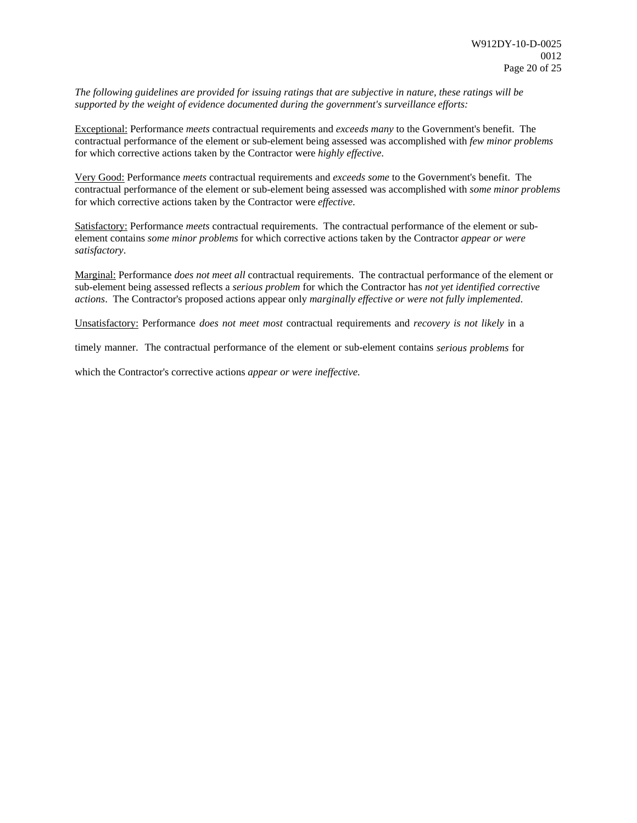*The following guidelines are provided for issuing ratings that are subjective in nature, these ratings will be supported by the weight of evidence documented during the government's surveillance efforts:* 

Exceptional: Performance *meets* contractual requirements and *exceeds many* to the Government's benefit. The contractual performance of the element or sub-element being assessed was accomplished with *few minor problems* for which corrective actions taken by the Contractor were *highly effective*.

Very Good: Performance *meets* contractual requirements and *exceeds some* to the Government's benefit. The contractual performance of the element or sub-element being assessed was accomplished with *some minor problems* for which corrective actions taken by the Contractor were *effective*.

Satisfactory: Performance *meets* contractual requirements. The contractual performance of the element or subelement contains *some minor problems* for which corrective actions taken by the Contractor *appear or were satisfactory*.

Marginal: Performance *does not meet all* contractual requirements. The contractual performance of the element or sub-element being assessed reflects a *serious problem* for which the Contractor has *not yet identified corrective actions*. The Contractor's proposed actions appear only *marginally effective or were not fully implemented*.

Unsatisfactory: Performance *does not meet most* contractual requirements and *recovery is not likely* in a

timely manner. The contractual performance of the element or sub-element contains *serious problems* for

which the Contractor's corrective actions *appear or were ineffective.*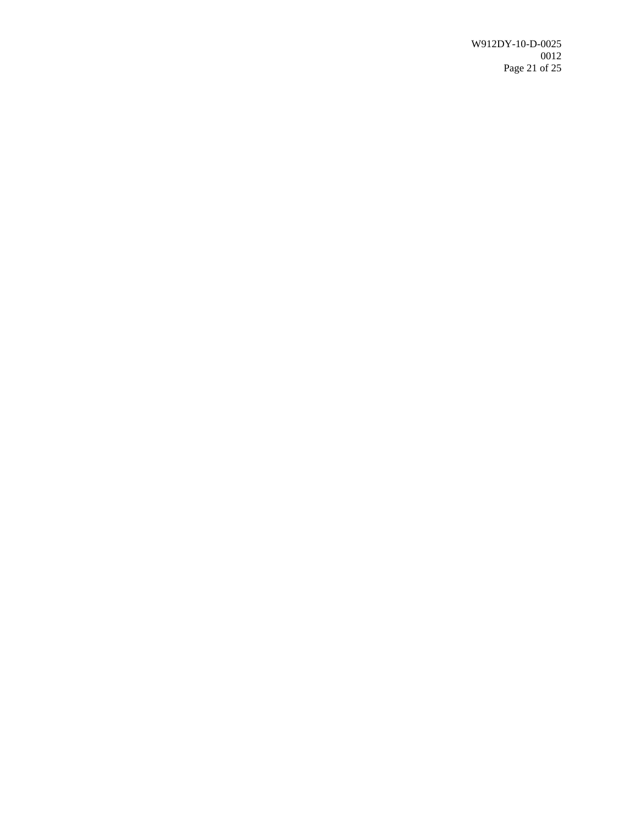W912DY-10-D-0025 0012 Page 21 of 25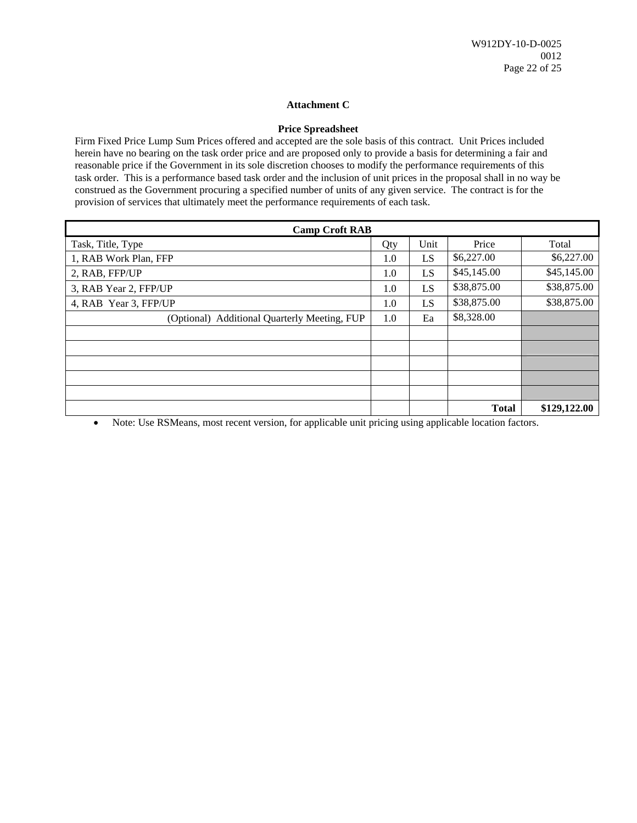#### **Attachment C**

#### **Price Spreadsheet**

Firm Fixed Price Lump Sum Prices offered and accepted are the sole basis of this contract. Unit Prices included herein have no bearing on the task order price and are proposed only to provide a basis for determining a fair and reasonable price if the Government in its sole discretion chooses to modify the performance requirements of this task order. This is a performance based task order and the inclusion of unit prices in the proposal shall in no way be construed as the Government procuring a specified number of units of any given service. The contract is for the provision of services that ultimately meet the performance requirements of each task.

| <b>Camp Croft RAB</b>                        |     |      |              |              |  |  |  |  |  |
|----------------------------------------------|-----|------|--------------|--------------|--|--|--|--|--|
| Task, Title, Type                            | Qty | Unit | Price        | Total        |  |  |  |  |  |
| 1, RAB Work Plan, FFP                        | 1.0 | LS   | \$6,227.00   | \$6,227.00   |  |  |  |  |  |
| 2, RAB, FFP/UP                               | 1.0 | LS   | \$45,145.00  | \$45,145.00  |  |  |  |  |  |
| 3, RAB Year 2, FFP/UP                        | 1.0 | LS   | \$38,875.00  | \$38,875.00  |  |  |  |  |  |
| 4, RAB Year 3, FFP/UP                        | 1.0 | LS   | \$38,875.00  | \$38,875.00  |  |  |  |  |  |
| (Optional) Additional Quarterly Meeting, FUP | 1.0 | Ea   | \$8,328.00   |              |  |  |  |  |  |
|                                              |     |      |              |              |  |  |  |  |  |
|                                              |     |      |              |              |  |  |  |  |  |
|                                              |     |      |              |              |  |  |  |  |  |
|                                              |     |      |              |              |  |  |  |  |  |
|                                              |     |      |              |              |  |  |  |  |  |
|                                              |     |      | <b>Total</b> | \$129,122.00 |  |  |  |  |  |

Note: Use RSMeans, most recent version, for applicable unit pricing using applicable location factors.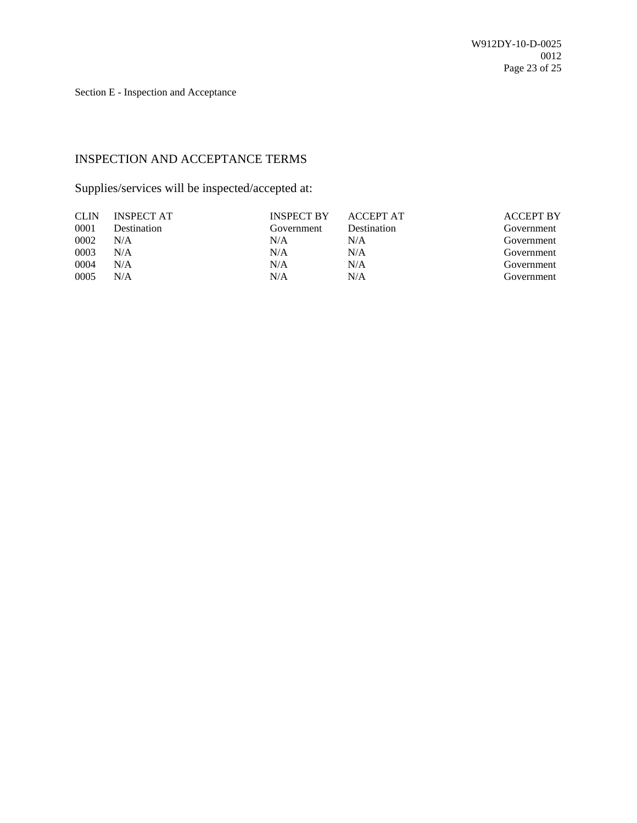Section E - Inspection and Acceptance

# INSPECTION AND ACCEPTANCE TERMS

Supplies/services will be inspected/accepted at:

| <b>CLIN</b> | <b>INSPECT AT</b> | <b>INSPECT BY</b> | <b>ACCEPT AT</b> | <b>ACCEPT BY</b> |
|-------------|-------------------|-------------------|------------------|------------------|
| 0001        | Destination       | Government        | Destination      | Government       |
| 0002        | N/A               | N/A               | N/A              | Government       |
| 0003        | N/A               | N/A               | N/A              | Government       |
| 0004        | N/A               | N/A               | N/A              | Government       |
| 0005        | N/A               | N/A               | N/A              | Government       |
|             |                   |                   |                  |                  |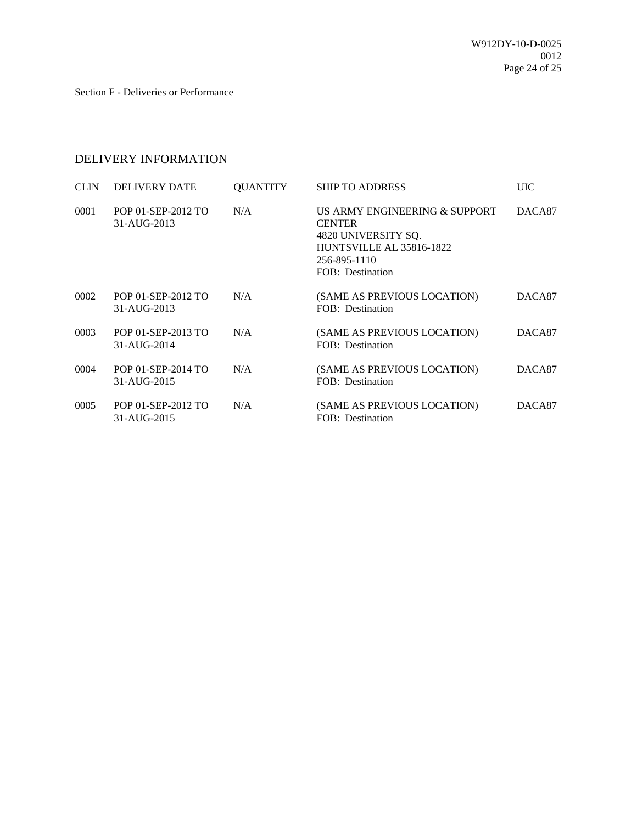# DELIVERY INFORMATION

| <b>CLIN</b> | <b>DELIVERY DATE</b>                    | <b>QUANTITY</b> | <b>SHIP TO ADDRESS</b>                                                                                                                | UIC    |
|-------------|-----------------------------------------|-----------------|---------------------------------------------------------------------------------------------------------------------------------------|--------|
| 0001        | POP 01-SEP-2012 TO<br>31-AUG-2013       | N/A             | US ARMY ENGINEERING & SUPPORT<br><b>CENTER</b><br>4820 UNIVERSITY SO.<br>HUNTSVILLE AL 35816-1822<br>256-895-1110<br>FOB: Destination | DACA87 |
| 0002        | POP 01-SEP-2012 TO<br>31-AUG-2013       | N/A             | (SAME AS PREVIOUS LOCATION)<br>FOB: Destination                                                                                       | DACA87 |
| 0003        | POP 01-SEP-2013 TO<br>$31 - AI$ IG-2014 | N/A             | (SAME AS PREVIOUS LOCATION)<br>FOB: Destination                                                                                       | DACA87 |
| 0004        | POP 01-SEP-2014 TO<br>31-AUG-2015       | N/A             | (SAME AS PREVIOUS LOCATION)<br>FOB: Destination                                                                                       | DACA87 |
| 0005        | POP 01-SEP-2012 TO<br>31-AUG-2015       | N/A             | (SAME AS PREVIOUS LOCATION)<br>FOB: Destination                                                                                       | DACA87 |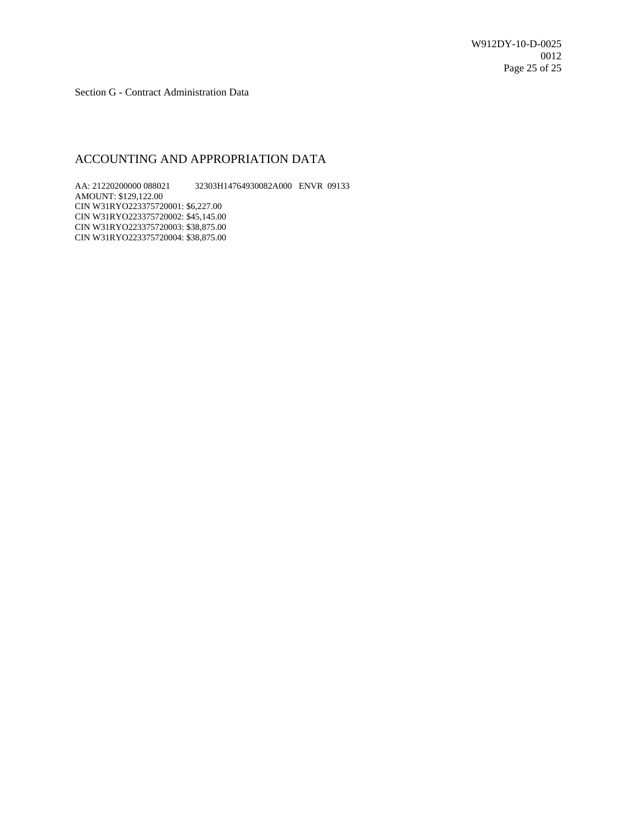Section G - Contract Administration Data

# ACCOUNTING AND APPROPRIATION DATA

AA: 21220200000 088021 32303H14764930082A000 ENVR 09133 AMOUNT: \$129,122.00 CIN W31RYO223375720001: \$6,227.00 CIN W31RYO223375720002: \$45,145.00 CIN W31RYO223375720003: \$38,875.00 CIN W31RYO223375720004: \$38,875.00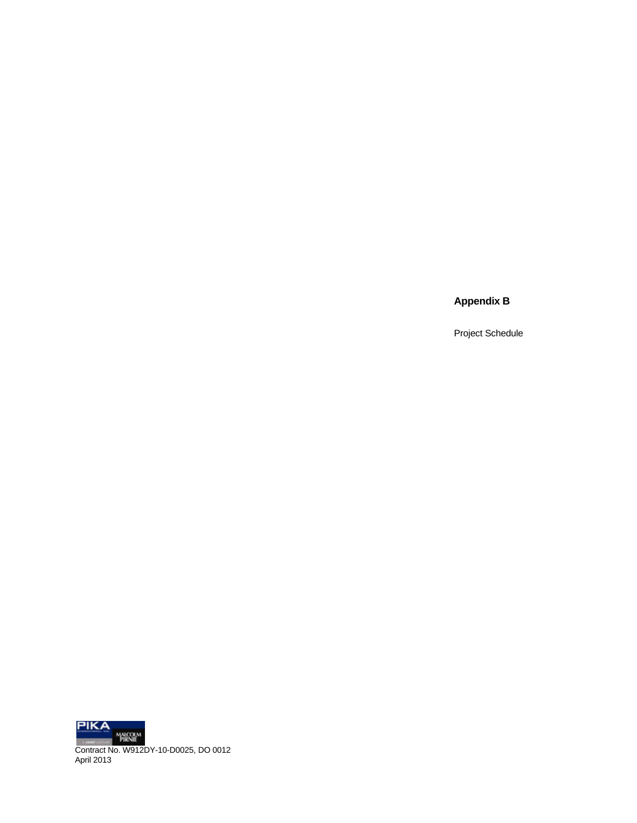# **Appendix B**

Project Schedule